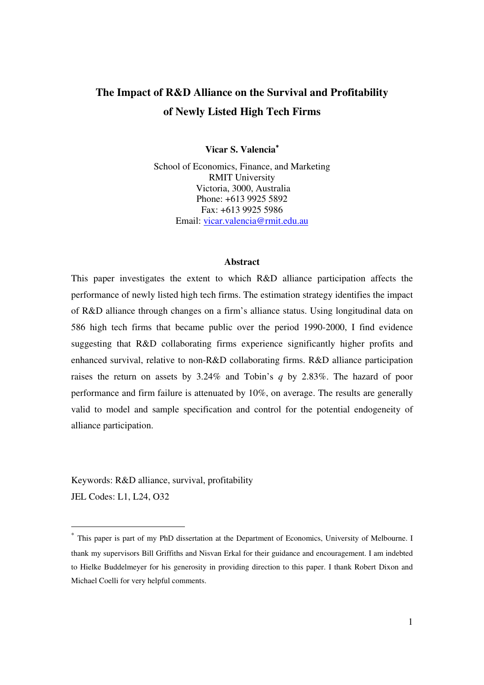## **The Impact of R&D Alliance on the Survival and Profitability of Newly Listed High Tech Firms**

**Vicar S. Valencia**<sup>∗</sup>

School of Economics, Finance, and Marketing RMIT University Victoria, 3000, Australia Phone: +613 9925 5892 Fax: +613 9925 5986 Email: vicar.valencia@rmit.edu.au

#### **Abstract**

This paper investigates the extent to which R&D alliance participation affects the performance of newly listed high tech firms. The estimation strategy identifies the impact of R&D alliance through changes on a firm's alliance status. Using longitudinal data on 586 high tech firms that became public over the period 1990-2000, I find evidence suggesting that R&D collaborating firms experience significantly higher profits and enhanced survival, relative to non-R&D collaborating firms. R&D alliance participation raises the return on assets by 3.24% and Tobin's *q* by 2.83%. The hazard of poor performance and firm failure is attenuated by 10%, on average. The results are generally valid to model and sample specification and control for the potential endogeneity of alliance participation.

Keywords: R&D alliance, survival, profitability JEL Codes: L1, L24, O32

l

<sup>∗</sup> This paper is part of my PhD dissertation at the Department of Economics, University of Melbourne. I thank my supervisors Bill Griffiths and Nisvan Erkal for their guidance and encouragement. I am indebted to Hielke Buddelmeyer for his generosity in providing direction to this paper. I thank Robert Dixon and Michael Coelli for very helpful comments.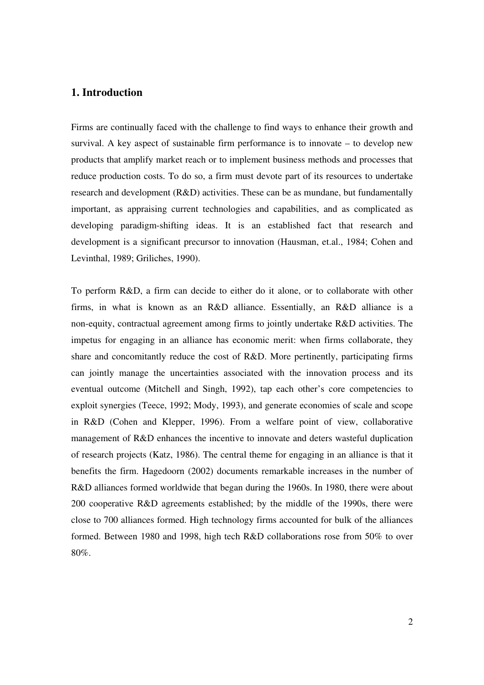### **1. Introduction**

Firms are continually faced with the challenge to find ways to enhance their growth and survival. A key aspect of sustainable firm performance is to innovate – to develop new products that amplify market reach or to implement business methods and processes that reduce production costs. To do so, a firm must devote part of its resources to undertake research and development (R&D) activities. These can be as mundane, but fundamentally important, as appraising current technologies and capabilities, and as complicated as developing paradigm-shifting ideas. It is an established fact that research and development is a significant precursor to innovation (Hausman, et.al., 1984; Cohen and Levinthal, 1989; Griliches, 1990).

To perform R&D, a firm can decide to either do it alone, or to collaborate with other firms, in what is known as an R&D alliance. Essentially, an R&D alliance is a non-equity, contractual agreement among firms to jointly undertake R&D activities. The impetus for engaging in an alliance has economic merit: when firms collaborate, they share and concomitantly reduce the cost of R&D. More pertinently, participating firms can jointly manage the uncertainties associated with the innovation process and its eventual outcome (Mitchell and Singh, 1992), tap each other's core competencies to exploit synergies (Teece, 1992; Mody, 1993), and generate economies of scale and scope in R&D (Cohen and Klepper, 1996). From a welfare point of view, collaborative management of R&D enhances the incentive to innovate and deters wasteful duplication of research projects (Katz, 1986). The central theme for engaging in an alliance is that it benefits the firm. Hagedoorn (2002) documents remarkable increases in the number of R&D alliances formed worldwide that began during the 1960s. In 1980, there were about 200 cooperative R&D agreements established; by the middle of the 1990s, there were close to 700 alliances formed. High technology firms accounted for bulk of the alliances formed. Between 1980 and 1998, high tech R&D collaborations rose from 50% to over 80%.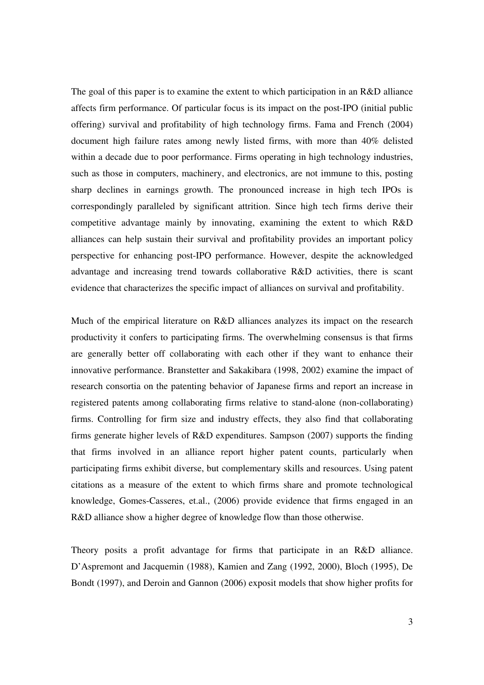The goal of this paper is to examine the extent to which participation in an R&D alliance affects firm performance. Of particular focus is its impact on the post-IPO (initial public offering) survival and profitability of high technology firms. Fama and French (2004) document high failure rates among newly listed firms, with more than 40% delisted within a decade due to poor performance. Firms operating in high technology industries, such as those in computers, machinery, and electronics, are not immune to this, posting sharp declines in earnings growth. The pronounced increase in high tech IPOs is correspondingly paralleled by significant attrition. Since high tech firms derive their competitive advantage mainly by innovating, examining the extent to which R&D alliances can help sustain their survival and profitability provides an important policy perspective for enhancing post-IPO performance. However, despite the acknowledged advantage and increasing trend towards collaborative R&D activities, there is scant evidence that characterizes the specific impact of alliances on survival and profitability.

Much of the empirical literature on R&D alliances analyzes its impact on the research productivity it confers to participating firms. The overwhelming consensus is that firms are generally better off collaborating with each other if they want to enhance their innovative performance. Branstetter and Sakakibara (1998, 2002) examine the impact of research consortia on the patenting behavior of Japanese firms and report an increase in registered patents among collaborating firms relative to stand-alone (non-collaborating) firms. Controlling for firm size and industry effects, they also find that collaborating firms generate higher levels of R&D expenditures. Sampson (2007) supports the finding that firms involved in an alliance report higher patent counts, particularly when participating firms exhibit diverse, but complementary skills and resources. Using patent citations as a measure of the extent to which firms share and promote technological knowledge, Gomes-Casseres, et.al., (2006) provide evidence that firms engaged in an R&D alliance show a higher degree of knowledge flow than those otherwise.

Theory posits a profit advantage for firms that participate in an R&D alliance. D'Aspremont and Jacquemin (1988), Kamien and Zang (1992, 2000), Bloch (1995), De Bondt (1997), and Deroin and Gannon (2006) exposit models that show higher profits for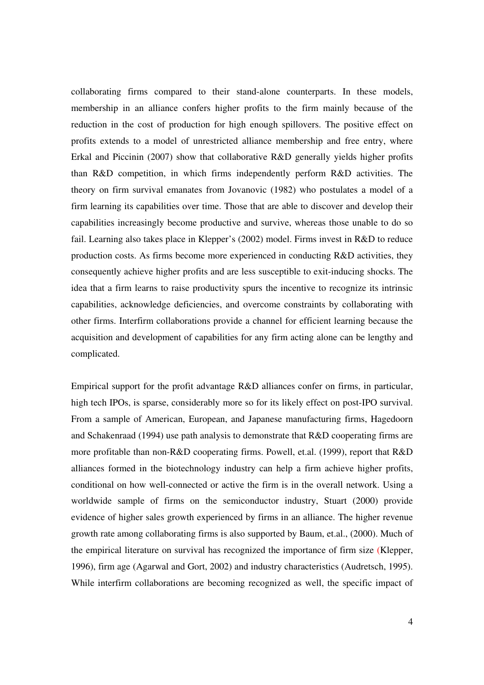collaborating firms compared to their stand-alone counterparts. In these models, membership in an alliance confers higher profits to the firm mainly because of the reduction in the cost of production for high enough spillovers. The positive effect on profits extends to a model of unrestricted alliance membership and free entry, where Erkal and Piccinin (2007) show that collaborative R&D generally yields higher profits than R&D competition, in which firms independently perform R&D activities. The theory on firm survival emanates from Jovanovic (1982) who postulates a model of a firm learning its capabilities over time. Those that are able to discover and develop their capabilities increasingly become productive and survive, whereas those unable to do so fail. Learning also takes place in Klepper's (2002) model. Firms invest in R&D to reduce production costs. As firms become more experienced in conducting R&D activities, they consequently achieve higher profits and are less susceptible to exit-inducing shocks. The idea that a firm learns to raise productivity spurs the incentive to recognize its intrinsic capabilities, acknowledge deficiencies, and overcome constraints by collaborating with other firms. Interfirm collaborations provide a channel for efficient learning because the acquisition and development of capabilities for any firm acting alone can be lengthy and complicated.

Empirical support for the profit advantage R&D alliances confer on firms, in particular, high tech IPOs, is sparse, considerably more so for its likely effect on post-IPO survival. From a sample of American, European, and Japanese manufacturing firms, Hagedoorn and Schakenraad (1994) use path analysis to demonstrate that R&D cooperating firms are more profitable than non-R&D cooperating firms. Powell, et.al. (1999), report that R&D alliances formed in the biotechnology industry can help a firm achieve higher profits, conditional on how well-connected or active the firm is in the overall network. Using a worldwide sample of firms on the semiconductor industry, Stuart (2000) provide evidence of higher sales growth experienced by firms in an alliance. The higher revenue growth rate among collaborating firms is also supported by Baum, et.al., (2000). Much of the empirical literature on survival has recognized the importance of firm size (Klepper, 1996), firm age (Agarwal and Gort, 2002) and industry characteristics (Audretsch, 1995). While interfirm collaborations are becoming recognized as well, the specific impact of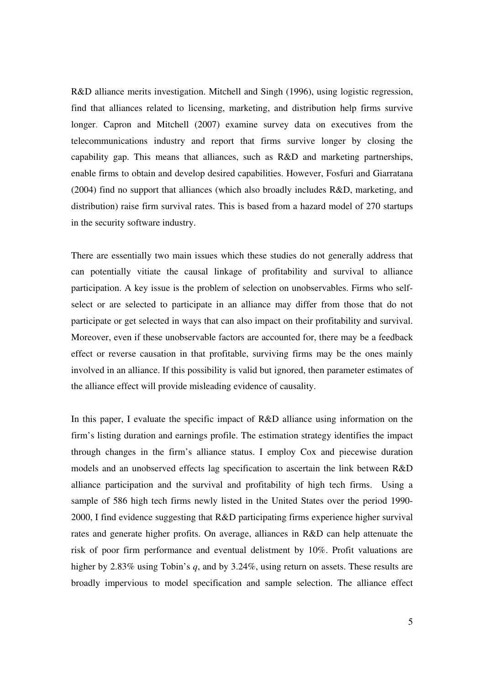R&D alliance merits investigation. Mitchell and Singh (1996), using logistic regression, find that alliances related to licensing, marketing, and distribution help firms survive longer. Capron and Mitchell (2007) examine survey data on executives from the telecommunications industry and report that firms survive longer by closing the capability gap. This means that alliances, such as R&D and marketing partnerships, enable firms to obtain and develop desired capabilities. However, Fosfuri and Giarratana (2004) find no support that alliances (which also broadly includes R&D, marketing, and distribution) raise firm survival rates. This is based from a hazard model of 270 startups in the security software industry.

There are essentially two main issues which these studies do not generally address that can potentially vitiate the causal linkage of profitability and survival to alliance participation. A key issue is the problem of selection on unobservables. Firms who selfselect or are selected to participate in an alliance may differ from those that do not participate or get selected in ways that can also impact on their profitability and survival. Moreover, even if these unobservable factors are accounted for, there may be a feedback effect or reverse causation in that profitable, surviving firms may be the ones mainly involved in an alliance. If this possibility is valid but ignored, then parameter estimates of the alliance effect will provide misleading evidence of causality.

In this paper, I evaluate the specific impact of R&D alliance using information on the firm's listing duration and earnings profile. The estimation strategy identifies the impact through changes in the firm's alliance status. I employ Cox and piecewise duration models and an unobserved effects lag specification to ascertain the link between R&D alliance participation and the survival and profitability of high tech firms. Using a sample of 586 high tech firms newly listed in the United States over the period 1990- 2000, I find evidence suggesting that R&D participating firms experience higher survival rates and generate higher profits. On average, alliances in R&D can help attenuate the risk of poor firm performance and eventual delistment by 10%. Profit valuations are higher by 2.83% using Tobin's *q*, and by 3.24%, using return on assets. These results are broadly impervious to model specification and sample selection. The alliance effect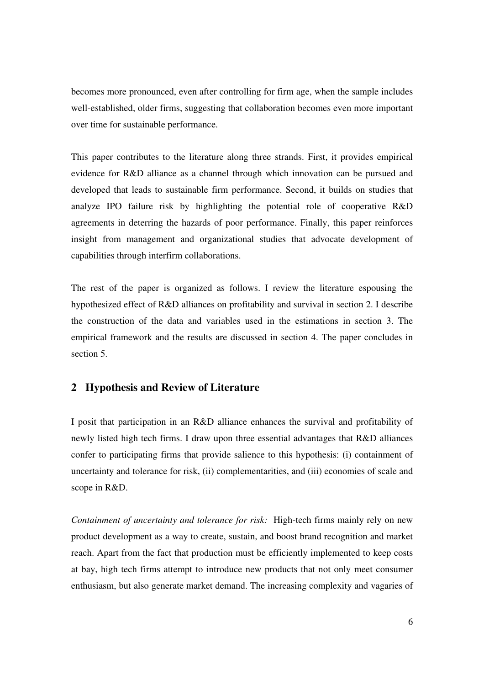becomes more pronounced, even after controlling for firm age, when the sample includes well-established, older firms, suggesting that collaboration becomes even more important over time for sustainable performance.

This paper contributes to the literature along three strands. First, it provides empirical evidence for R&D alliance as a channel through which innovation can be pursued and developed that leads to sustainable firm performance. Second, it builds on studies that analyze IPO failure risk by highlighting the potential role of cooperative R&D agreements in deterring the hazards of poor performance. Finally, this paper reinforces insight from management and organizational studies that advocate development of capabilities through interfirm collaborations.

The rest of the paper is organized as follows. I review the literature espousing the hypothesized effect of R&D alliances on profitability and survival in section 2. I describe the construction of the data and variables used in the estimations in section 3. The empirical framework and the results are discussed in section 4. The paper concludes in section 5.

### **2 Hypothesis and Review of Literature**

I posit that participation in an R&D alliance enhances the survival and profitability of newly listed high tech firms. I draw upon three essential advantages that R&D alliances confer to participating firms that provide salience to this hypothesis: (i) containment of uncertainty and tolerance for risk, (ii) complementarities, and (iii) economies of scale and scope in R&D.

*Containment of uncertainty and tolerance for risk:* High-tech firms mainly rely on new product development as a way to create, sustain, and boost brand recognition and market reach. Apart from the fact that production must be efficiently implemented to keep costs at bay, high tech firms attempt to introduce new products that not only meet consumer enthusiasm, but also generate market demand. The increasing complexity and vagaries of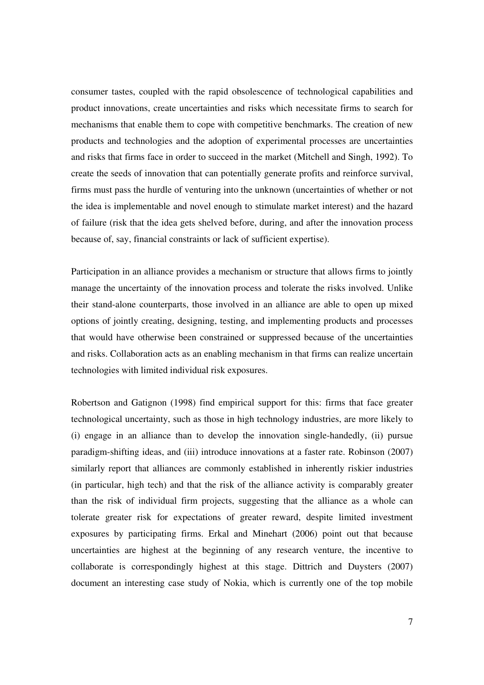consumer tastes, coupled with the rapid obsolescence of technological capabilities and product innovations, create uncertainties and risks which necessitate firms to search for mechanisms that enable them to cope with competitive benchmarks. The creation of new products and technologies and the adoption of experimental processes are uncertainties and risks that firms face in order to succeed in the market (Mitchell and Singh, 1992). To create the seeds of innovation that can potentially generate profits and reinforce survival, firms must pass the hurdle of venturing into the unknown (uncertainties of whether or not the idea is implementable and novel enough to stimulate market interest) and the hazard of failure (risk that the idea gets shelved before, during, and after the innovation process because of, say, financial constraints or lack of sufficient expertise).

Participation in an alliance provides a mechanism or structure that allows firms to jointly manage the uncertainty of the innovation process and tolerate the risks involved. Unlike their stand-alone counterparts, those involved in an alliance are able to open up mixed options of jointly creating, designing, testing, and implementing products and processes that would have otherwise been constrained or suppressed because of the uncertainties and risks. Collaboration acts as an enabling mechanism in that firms can realize uncertain technologies with limited individual risk exposures.

Robertson and Gatignon (1998) find empirical support for this: firms that face greater technological uncertainty, such as those in high technology industries, are more likely to (i) engage in an alliance than to develop the innovation single-handedly, (ii) pursue paradigm-shifting ideas, and (iii) introduce innovations at a faster rate. Robinson (2007) similarly report that alliances are commonly established in inherently riskier industries (in particular, high tech) and that the risk of the alliance activity is comparably greater than the risk of individual firm projects, suggesting that the alliance as a whole can tolerate greater risk for expectations of greater reward, despite limited investment exposures by participating firms. Erkal and Minehart (2006) point out that because uncertainties are highest at the beginning of any research venture, the incentive to collaborate is correspondingly highest at this stage. Dittrich and Duysters (2007) document an interesting case study of Nokia, which is currently one of the top mobile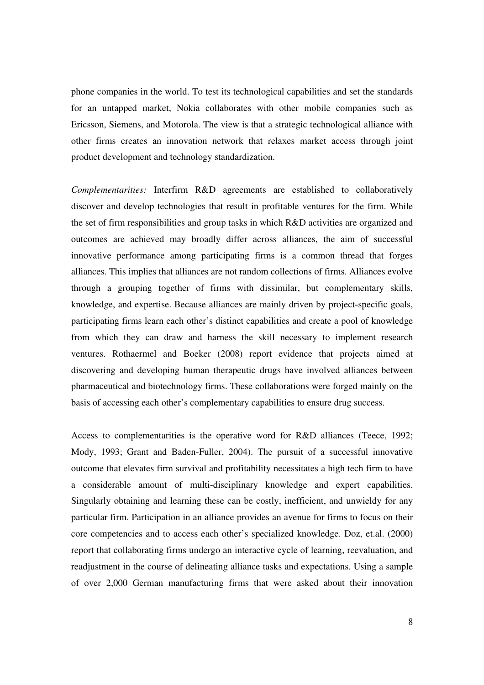phone companies in the world. To test its technological capabilities and set the standards for an untapped market, Nokia collaborates with other mobile companies such as Ericsson, Siemens, and Motorola. The view is that a strategic technological alliance with other firms creates an innovation network that relaxes market access through joint product development and technology standardization.

*Complementarities:* Interfirm R&D agreements are established to collaboratively discover and develop technologies that result in profitable ventures for the firm. While the set of firm responsibilities and group tasks in which R&D activities are organized and outcomes are achieved may broadly differ across alliances, the aim of successful innovative performance among participating firms is a common thread that forges alliances. This implies that alliances are not random collections of firms. Alliances evolve through a grouping together of firms with dissimilar, but complementary skills, knowledge, and expertise. Because alliances are mainly driven by project-specific goals, participating firms learn each other's distinct capabilities and create a pool of knowledge from which they can draw and harness the skill necessary to implement research ventures. Rothaermel and Boeker (2008) report evidence that projects aimed at discovering and developing human therapeutic drugs have involved alliances between pharmaceutical and biotechnology firms. These collaborations were forged mainly on the basis of accessing each other's complementary capabilities to ensure drug success.

Access to complementarities is the operative word for R&D alliances (Teece, 1992; Mody, 1993; Grant and Baden-Fuller, 2004). The pursuit of a successful innovative outcome that elevates firm survival and profitability necessitates a high tech firm to have a considerable amount of multi-disciplinary knowledge and expert capabilities. Singularly obtaining and learning these can be costly, inefficient, and unwieldy for any particular firm. Participation in an alliance provides an avenue for firms to focus on their core competencies and to access each other's specialized knowledge. Doz, et.al. (2000) report that collaborating firms undergo an interactive cycle of learning, reevaluation, and readjustment in the course of delineating alliance tasks and expectations. Using a sample of over 2,000 German manufacturing firms that were asked about their innovation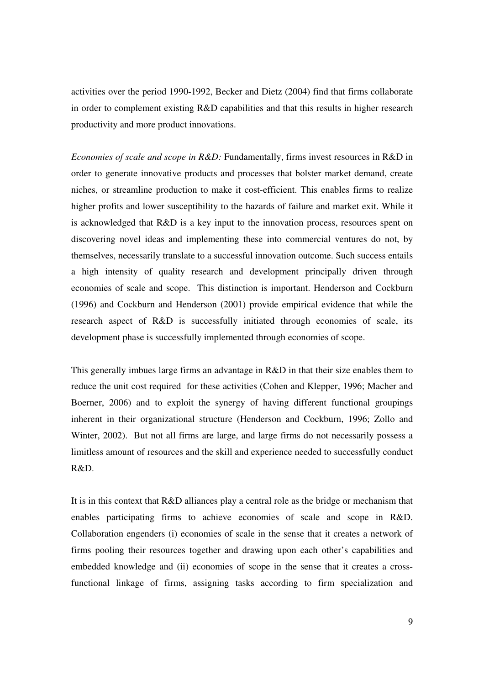activities over the period 1990-1992, Becker and Dietz (2004) find that firms collaborate in order to complement existing R&D capabilities and that this results in higher research productivity and more product innovations.

*Economies of scale and scope in R&D:* Fundamentally, firms invest resources in R&D in order to generate innovative products and processes that bolster market demand, create niches, or streamline production to make it cost-efficient. This enables firms to realize higher profits and lower susceptibility to the hazards of failure and market exit. While it is acknowledged that R&D is a key input to the innovation process, resources spent on discovering novel ideas and implementing these into commercial ventures do not, by themselves, necessarily translate to a successful innovation outcome. Such success entails a high intensity of quality research and development principally driven through economies of scale and scope. This distinction is important. Henderson and Cockburn (1996) and Cockburn and Henderson (2001) provide empirical evidence that while the research aspect of R&D is successfully initiated through economies of scale, its development phase is successfully implemented through economies of scope.

This generally imbues large firms an advantage in R&D in that their size enables them to reduce the unit cost required for these activities (Cohen and Klepper, 1996; Macher and Boerner, 2006) and to exploit the synergy of having different functional groupings inherent in their organizational structure (Henderson and Cockburn, 1996; Zollo and Winter, 2002). But not all firms are large, and large firms do not necessarily possess a limitless amount of resources and the skill and experience needed to successfully conduct R&D.

It is in this context that R&D alliances play a central role as the bridge or mechanism that enables participating firms to achieve economies of scale and scope in R&D. Collaboration engenders (i) economies of scale in the sense that it creates a network of firms pooling their resources together and drawing upon each other's capabilities and embedded knowledge and (ii) economies of scope in the sense that it creates a crossfunctional linkage of firms, assigning tasks according to firm specialization and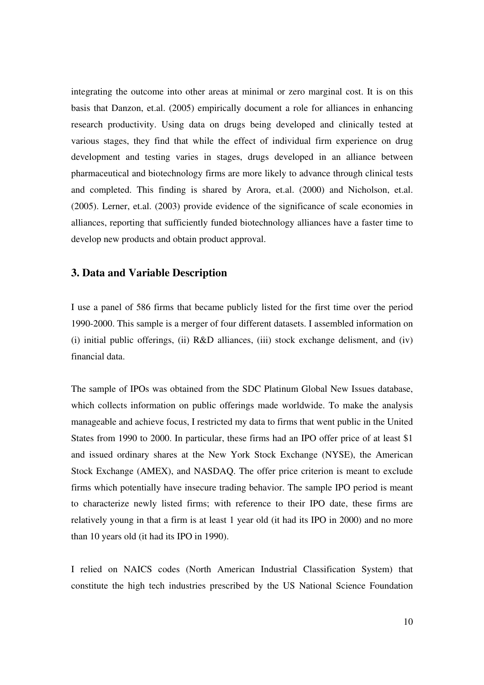integrating the outcome into other areas at minimal or zero marginal cost. It is on this basis that Danzon, et.al. (2005) empirically document a role for alliances in enhancing research productivity. Using data on drugs being developed and clinically tested at various stages, they find that while the effect of individual firm experience on drug development and testing varies in stages, drugs developed in an alliance between pharmaceutical and biotechnology firms are more likely to advance through clinical tests and completed. This finding is shared by Arora, et.al. (2000) and Nicholson, et.al. (2005). Lerner, et.al. (2003) provide evidence of the significance of scale economies in alliances, reporting that sufficiently funded biotechnology alliances have a faster time to develop new products and obtain product approval.

### **3. Data and Variable Description**

I use a panel of 586 firms that became publicly listed for the first time over the period 1990-2000. This sample is a merger of four different datasets. I assembled information on (i) initial public offerings, (ii)  $R&D$  alliances, (iii) stock exchange delisment, and (iv) financial data.

The sample of IPOs was obtained from the SDC Platinum Global New Issues database, which collects information on public offerings made worldwide. To make the analysis manageable and achieve focus, I restricted my data to firms that went public in the United States from 1990 to 2000. In particular, these firms had an IPO offer price of at least \$1 and issued ordinary shares at the New York Stock Exchange (NYSE), the American Stock Exchange (AMEX), and NASDAQ. The offer price criterion is meant to exclude firms which potentially have insecure trading behavior. The sample IPO period is meant to characterize newly listed firms; with reference to their IPO date, these firms are relatively young in that a firm is at least 1 year old (it had its IPO in 2000) and no more than 10 years old (it had its IPO in 1990).

I relied on NAICS codes (North American Industrial Classification System) that constitute the high tech industries prescribed by the US National Science Foundation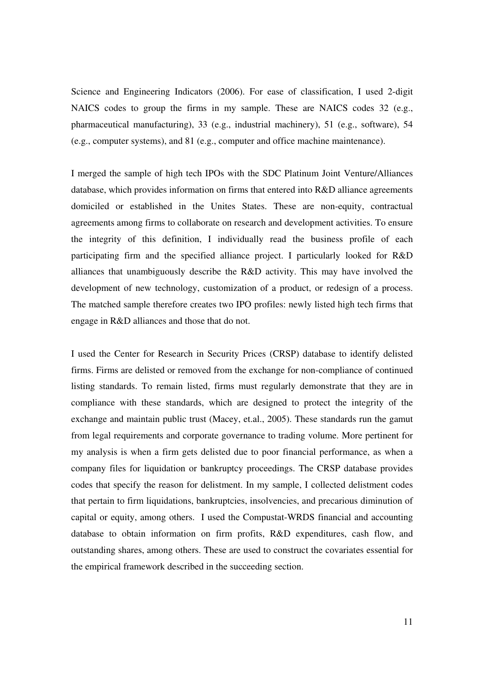Science and Engineering Indicators (2006). For ease of classification, I used 2-digit NAICS codes to group the firms in my sample. These are NAICS codes 32 (e.g., pharmaceutical manufacturing), 33 (e.g., industrial machinery), 51 (e.g., software), 54 (e.g., computer systems), and 81 (e.g., computer and office machine maintenance).

I merged the sample of high tech IPOs with the SDC Platinum Joint Venture/Alliances database, which provides information on firms that entered into R&D alliance agreements domiciled or established in the Unites States. These are non-equity, contractual agreements among firms to collaborate on research and development activities. To ensure the integrity of this definition, I individually read the business profile of each participating firm and the specified alliance project. I particularly looked for R&D alliances that unambiguously describe the R&D activity. This may have involved the development of new technology, customization of a product, or redesign of a process. The matched sample therefore creates two IPO profiles: newly listed high tech firms that engage in R&D alliances and those that do not.

I used the Center for Research in Security Prices (CRSP) database to identify delisted firms. Firms are delisted or removed from the exchange for non-compliance of continued listing standards. To remain listed, firms must regularly demonstrate that they are in compliance with these standards, which are designed to protect the integrity of the exchange and maintain public trust (Macey, et.al., 2005). These standards run the gamut from legal requirements and corporate governance to trading volume. More pertinent for my analysis is when a firm gets delisted due to poor financial performance, as when a company files for liquidation or bankruptcy proceedings. The CRSP database provides codes that specify the reason for delistment. In my sample, I collected delistment codes that pertain to firm liquidations, bankruptcies, insolvencies, and precarious diminution of capital or equity, among others. I used the Compustat-WRDS financial and accounting database to obtain information on firm profits, R&D expenditures, cash flow, and outstanding shares, among others. These are used to construct the covariates essential for the empirical framework described in the succeeding section.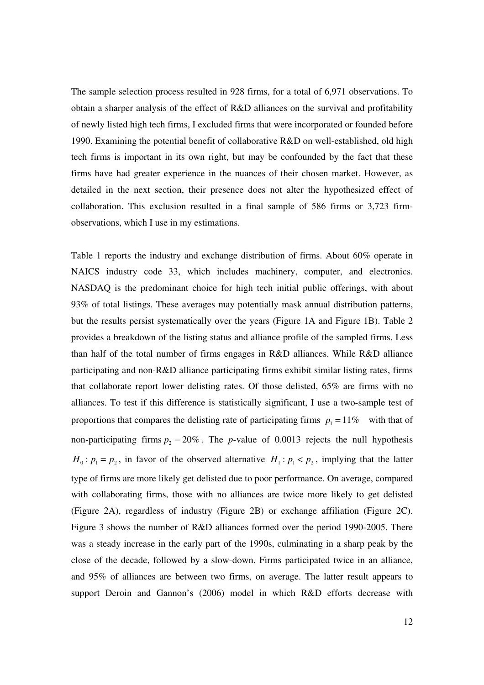The sample selection process resulted in 928 firms, for a total of 6,971 observations. To obtain a sharper analysis of the effect of R&D alliances on the survival and profitability of newly listed high tech firms, I excluded firms that were incorporated or founded before 1990. Examining the potential benefit of collaborative R&D on well-established, old high tech firms is important in its own right, but may be confounded by the fact that these firms have had greater experience in the nuances of their chosen market. However, as detailed in the next section, their presence does not alter the hypothesized effect of collaboration. This exclusion resulted in a final sample of 586 firms or 3,723 firmobservations, which I use in my estimations.

Table 1 reports the industry and exchange distribution of firms. About 60% operate in NAICS industry code 33, which includes machinery, computer, and electronics. NASDAQ is the predominant choice for high tech initial public offerings, with about 93% of total listings. These averages may potentially mask annual distribution patterns, but the results persist systematically over the years (Figure 1A and Figure 1B). Table 2 provides a breakdown of the listing status and alliance profile of the sampled firms. Less than half of the total number of firms engages in R&D alliances. While R&D alliance participating and non-R&D alliance participating firms exhibit similar listing rates, firms that collaborate report lower delisting rates. Of those delisted, 65% are firms with no alliances. To test if this difference is statistically significant, I use a two-sample test of proportions that compares the delisting rate of participating firms  $p_1 = 11\%$  with that of non-participating firms  $p_2 = 20\%$ . The *p*-value of 0.0013 rejects the null hypothesis  $H_0$ :  $p_1 = p_2$ , in favor of the observed alternative  $H_1$ :  $p_1 < p_2$ , implying that the latter type of firms are more likely get delisted due to poor performance. On average, compared with collaborating firms, those with no alliances are twice more likely to get delisted (Figure 2A), regardless of industry (Figure 2B) or exchange affiliation (Figure 2C). Figure 3 shows the number of R&D alliances formed over the period 1990-2005. There was a steady increase in the early part of the 1990s, culminating in a sharp peak by the close of the decade, followed by a slow-down. Firms participated twice in an alliance, and 95% of alliances are between two firms, on average. The latter result appears to support Deroin and Gannon's (2006) model in which R&D efforts decrease with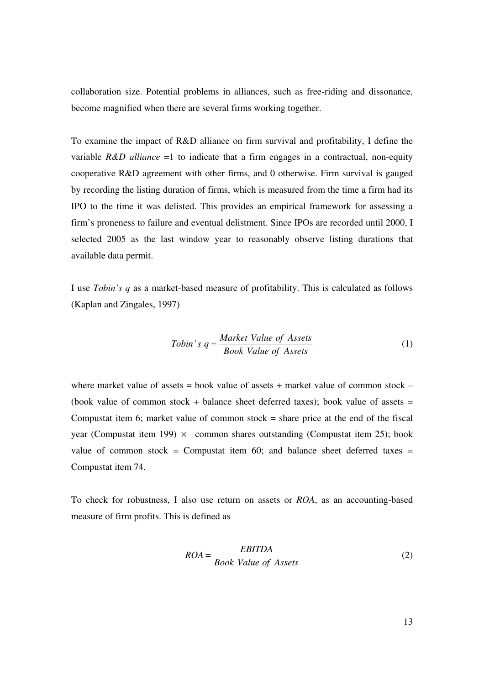collaboration size. Potential problems in alliances, such as free-riding and dissonance, become magnified when there are several firms working together.

To examine the impact of R&D alliance on firm survival and profitability, I define the variable  $R&D$  *alliance* =1 to indicate that a firm engages in a contractual, non-equity cooperative R&D agreement with other firms, and 0 otherwise. Firm survival is gauged by recording the listing duration of firms, which is measured from the time a firm had its IPO to the time it was delisted. This provides an empirical framework for assessing a firm's proneness to failure and eventual delistment. Since IPOs are recorded until 2000, I selected 2005 as the last window year to reasonably observe listing durations that available data permit.

I use *Tobin's q* as a market-based measure of profitability. This is calculated as follows (Kaplan and Zingales, 1997)

$$
Tobin's \tq = \frac{Market \tValue \tof \tAssets}{Book \tValue \tof \tAssets} \t(1)
$$

where market value of assets = book value of assets + market value of common stock  $-$ (book value of common stock + balance sheet deferred taxes); book value of assets  $=$ Compustat item 6; market value of common stock  $=$  share price at the end of the fiscal year (Compustat item 199)  $\times$  common shares outstanding (Compustat item 25); book value of common stock = Compustat item 60; and balance sheet deferred taxes = Compustat item 74.

To check for robustness, I also use return on assets or *ROA*, as an accounting-based measure of firm profits. This is defined as

$$
ROA = \frac{EBITDA}{Book Value of Assets}
$$
 (2)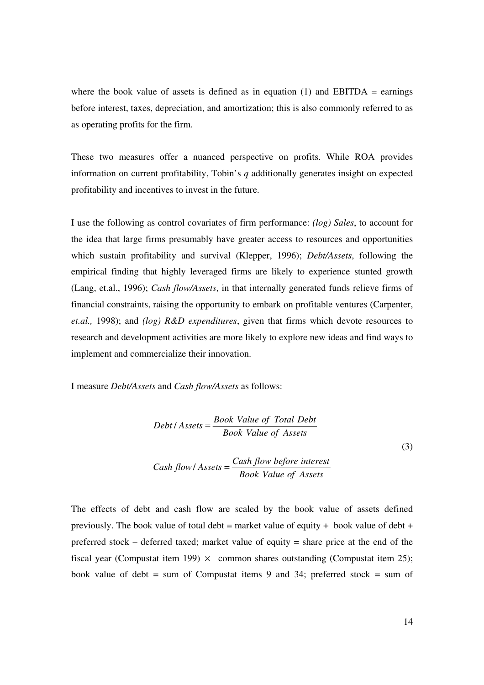where the book value of assets is defined as in equation  $(1)$  and EBITDA = earnings before interest, taxes, depreciation, and amortization; this is also commonly referred to as as operating profits for the firm.

These two measures offer a nuanced perspective on profits. While ROA provides information on current profitability, Tobin's *q* additionally generates insight on expected profitability and incentives to invest in the future.

I use the following as control covariates of firm performance: *(log) Sales*, to account for the idea that large firms presumably have greater access to resources and opportunities which sustain profitability and survival (Klepper, 1996); *Debt/Assets*, following the empirical finding that highly leveraged firms are likely to experience stunted growth (Lang, et.al., 1996); *Cash flow/Assets*, in that internally generated funds relieve firms of financial constraints, raising the opportunity to embark on profitable ventures (Carpenter, *et.al.,* 1998); and *(log) R&D expenditures*, given that firms which devote resources to research and development activities are more likely to explore new ideas and find ways to implement and commercialize their innovation.

I measure *Debt/Assets* and *Cash flow/Assets* as follows:

$$
Debt / Assets = \frac{Book Value of Total Debt}{Book Value of Assets}
$$
  

$$
Cash flow / Assets = \frac{Cash flow before interest}{Book Value of Assets}
$$
 (3)

The effects of debt and cash flow are scaled by the book value of assets defined previously. The book value of total debt = market value of equity + book value of debt + preferred stock – deferred taxed; market value of equity = share price at the end of the fiscal year (Compustat item 199)  $\times$  common shares outstanding (Compustat item 25); book value of debt = sum of Compustat items 9 and 34; preferred stock = sum of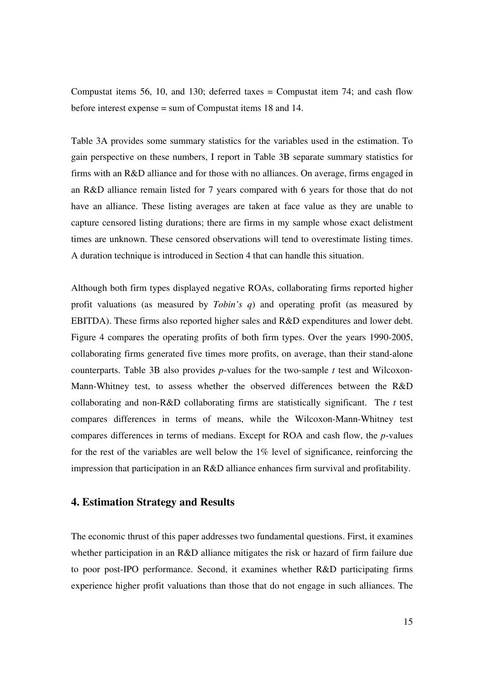Compustat items 56, 10, and 130; deferred taxes = Compustat item 74; and cash flow before interest expense = sum of Compustat items 18 and 14.

Table 3A provides some summary statistics for the variables used in the estimation. To gain perspective on these numbers, I report in Table 3B separate summary statistics for firms with an R&D alliance and for those with no alliances. On average, firms engaged in an R&D alliance remain listed for 7 years compared with 6 years for those that do not have an alliance. These listing averages are taken at face value as they are unable to capture censored listing durations; there are firms in my sample whose exact delistment times are unknown. These censored observations will tend to overestimate listing times. A duration technique is introduced in Section 4 that can handle this situation.

Although both firm types displayed negative ROAs, collaborating firms reported higher profit valuations (as measured by *Tobin's q*) and operating profit (as measured by EBITDA). These firms also reported higher sales and R&D expenditures and lower debt. Figure 4 compares the operating profits of both firm types. Over the years 1990-2005, collaborating firms generated five times more profits, on average, than their stand-alone counterparts. Table 3B also provides *p*-values for the two-sample *t* test and Wilcoxon-Mann-Whitney test, to assess whether the observed differences between the R&D collaborating and non-R&D collaborating firms are statistically significant. The *t* test compares differences in terms of means, while the Wilcoxon-Mann-Whitney test compares differences in terms of medians. Except for ROA and cash flow, the *p*-values for the rest of the variables are well below the 1% level of significance, reinforcing the impression that participation in an R&D alliance enhances firm survival and profitability.

#### **4. Estimation Strategy and Results**

The economic thrust of this paper addresses two fundamental questions. First, it examines whether participation in an R&D alliance mitigates the risk or hazard of firm failure due to poor post-IPO performance. Second, it examines whether R&D participating firms experience higher profit valuations than those that do not engage in such alliances. The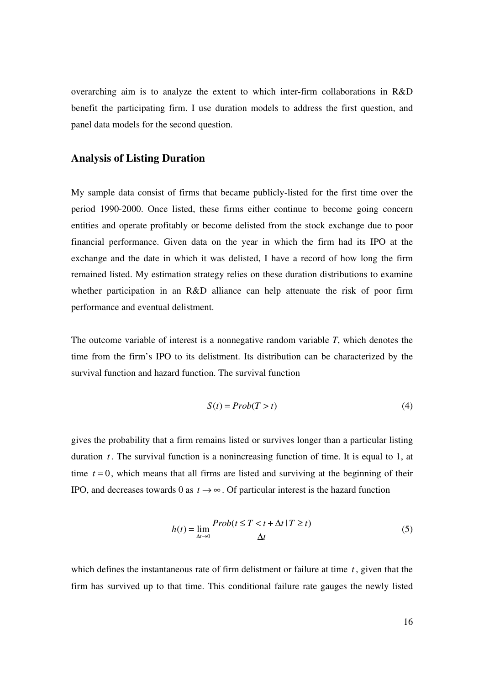overarching aim is to analyze the extent to which inter-firm collaborations in R&D benefit the participating firm. I use duration models to address the first question, and panel data models for the second question.

#### **Analysis of Listing Duration**

My sample data consist of firms that became publicly-listed for the first time over the period 1990-2000. Once listed, these firms either continue to become going concern entities and operate profitably or become delisted from the stock exchange due to poor financial performance. Given data on the year in which the firm had its IPO at the exchange and the date in which it was delisted, I have a record of how long the firm remained listed. My estimation strategy relies on these duration distributions to examine whether participation in an R&D alliance can help attenuate the risk of poor firm performance and eventual delistment.

The outcome variable of interest is a nonnegative random variable *T*, which denotes the time from the firm's IPO to its delistment. Its distribution can be characterized by the survival function and hazard function. The survival function

$$
S(t) = Prob(T > t)
$$
\n<sup>(4)</sup>

gives the probability that a firm remains listed or survives longer than a particular listing duration *t* . The survival function is a nonincreasing function of time. It is equal to 1, at time  $t = 0$ , which means that all firms are listed and surviving at the beginning of their IPO, and decreases towards 0 as  $t \rightarrow \infty$ . Of particular interest is the hazard function

$$
h(t) = \lim_{\Delta t \to 0} \frac{Prob(t \le T < t + \Delta t | T \ge t)}{\Delta t}
$$
 (5)

which defines the instantaneous rate of firm delistment or failure at time *t* , given that the firm has survived up to that time. This conditional failure rate gauges the newly listed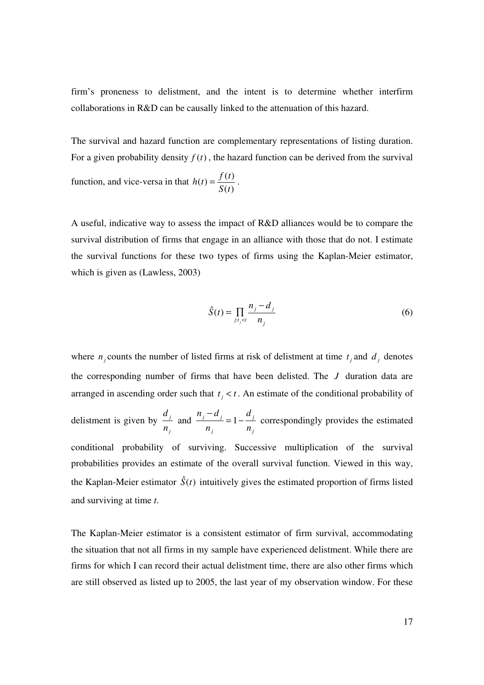firm's proneness to delistment, and the intent is to determine whether interfirm collaborations in R&D can be causally linked to the attenuation of this hazard.

The survival and hazard function are complementary representations of listing duration. For a given probability density  $f(t)$ , the hazard function can be derived from the survival

function, and vice-versa in that  $h(t) = \frac{f(t)}{g(t)}$  $(t)$  $h(t) = \frac{f(t)}{g(t)}$ *S t*  $=\frac{J(1)}{S(1)}$ .

A useful, indicative way to assess the impact of R&D alliances would be to compare the survival distribution of firms that engage in an alliance with those that do not. I estimate the survival functions for these two types of firms using the Kaplan-Meier estimator, which is given as (Lawless, 2003)

$$
\hat{S}(t) = \prod_{j:t_j < t} \frac{n_j - d_j}{n_j} \tag{6}
$$

where  $n_j$  counts the number of listed firms at risk of delistment at time  $t_j$  and  $d_j$  denotes the corresponding number of firms that have been delisted. The *J* duration data are arranged in ascending order such that  $t_j < t$ . An estimate of the conditional probability of delistment is given by  $\frac{a_j}{a_j}$ *j d n* and  $\frac{n_j - a_j}{j} = 1 - \frac{a_j}{j}$ *j j*  $n_i - d_i$  d  $n_i$  n −  $= 1 - \frac{v}{v}$  correspondingly provides the estimated conditional probability of surviving. Successive multiplication of the survival probabilities provides an estimate of the overall survival function. Viewed in this way, the Kaplan-Meier estimator  $\hat{S}(t)$  intuitively gives the estimated proportion of firms listed and surviving at time *t*.

The Kaplan-Meier estimator is a consistent estimator of firm survival, accommodating the situation that not all firms in my sample have experienced delistment. While there are firms for which I can record their actual delistment time, there are also other firms which are still observed as listed up to 2005, the last year of my observation window. For these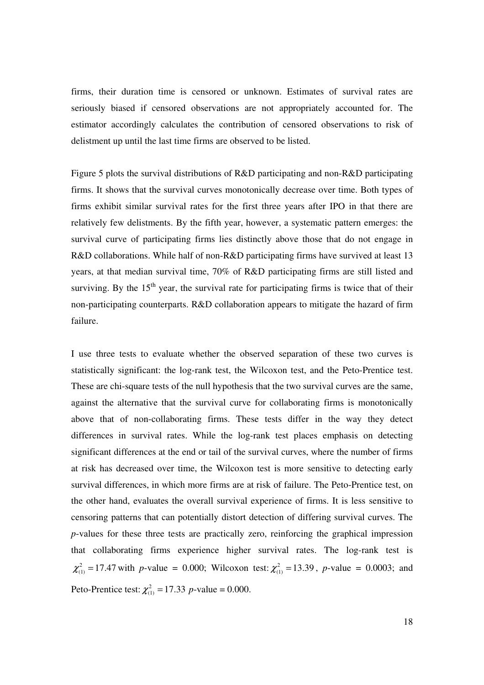firms, their duration time is censored or unknown. Estimates of survival rates are seriously biased if censored observations are not appropriately accounted for. The estimator accordingly calculates the contribution of censored observations to risk of delistment up until the last time firms are observed to be listed.

Figure 5 plots the survival distributions of R&D participating and non-R&D participating firms. It shows that the survival curves monotonically decrease over time. Both types of firms exhibit similar survival rates for the first three years after IPO in that there are relatively few delistments. By the fifth year, however, a systematic pattern emerges: the survival curve of participating firms lies distinctly above those that do not engage in R&D collaborations. While half of non-R&D participating firms have survived at least 13 years, at that median survival time, 70% of R&D participating firms are still listed and surviving. By the  $15<sup>th</sup>$  year, the survival rate for participating firms is twice that of their non-participating counterparts. R&D collaboration appears to mitigate the hazard of firm failure.

I use three tests to evaluate whether the observed separation of these two curves is statistically significant: the log-rank test, the Wilcoxon test, and the Peto-Prentice test. These are chi-square tests of the null hypothesis that the two survival curves are the same, against the alternative that the survival curve for collaborating firms is monotonically above that of non-collaborating firms. These tests differ in the way they detect differences in survival rates. While the log-rank test places emphasis on detecting significant differences at the end or tail of the survival curves, where the number of firms at risk has decreased over time, the Wilcoxon test is more sensitive to detecting early survival differences, in which more firms are at risk of failure. The Peto-Prentice test, on the other hand, evaluates the overall survival experience of firms. It is less sensitive to censoring patterns that can potentially distort detection of differing survival curves. The *p*-values for these three tests are practically zero, reinforcing the graphical impression that collaborating firms experience higher survival rates. The log-rank test is  $\chi^2_{(1)} = 17.47$  with *p*-value = 0.000; Wilcoxon test:  $\chi^2_{(1)} = 13.39$ , *p*-value = 0.0003; and Peto-Prentice test:  $\chi^{2}_{(1)} = 17.33 \text{ } p\text{-value} = 0.000.$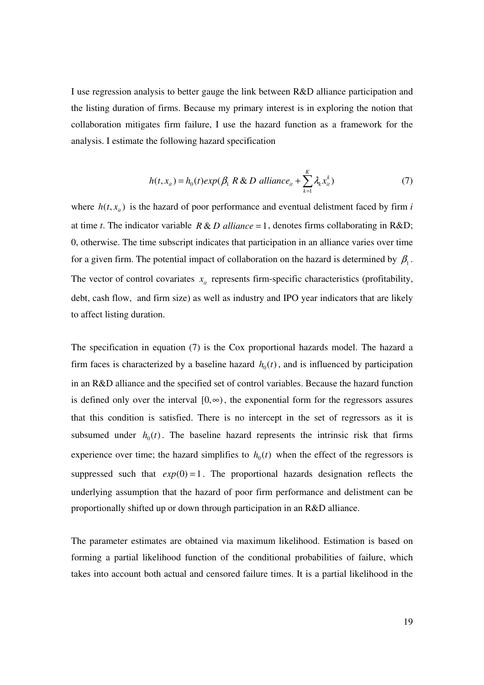I use regression analysis to better gauge the link between R&D alliance participation and the listing duration of firms. Because my primary interest is in exploring the notion that collaboration mitigates firm failure, I use the hazard function as a framework for the analysis. I estimate the following hazard specification

$$
h(t, x_{it}) = h_0(t) exp(\beta_1 R \& D \text{ alliance}_{it} + \sum_{k=1}^{K} \lambda_k x_{it}^k)
$$
\n<sup>(7)</sup>

where  $h(t, x_{ii})$  is the hazard of poor performance and eventual delistment faced by firm *i* at time *t*. The indicator variable  $R & D$  alliance = 1, denotes firms collaborating in R&D; 0, otherwise. The time subscript indicates that participation in an alliance varies over time for a given firm. The potential impact of collaboration on the hazard is determined by  $\beta_1$ . The vector of control covariates  $x_{it}$  represents firm-specific characteristics (profitability, debt, cash flow, and firm size) as well as industry and IPO year indicators that are likely to affect listing duration.

The specification in equation (7) is the Cox proportional hazards model. The hazard a firm faces is characterized by a baseline hazard  $h_0(t)$ , and is influenced by participation in an R&D alliance and the specified set of control variables. Because the hazard function is defined only over the interval  $[0, \infty)$ , the exponential form for the regressors assures that this condition is satisfied. There is no intercept in the set of regressors as it is subsumed under  $h_0(t)$ . The baseline hazard represents the intrinsic risk that firms experience over time; the hazard simplifies to  $h_0(t)$  when the effect of the regressors is suppressed such that  $exp(0) = 1$ . The proportional hazards designation reflects the underlying assumption that the hazard of poor firm performance and delistment can be proportionally shifted up or down through participation in an R&D alliance.

The parameter estimates are obtained via maximum likelihood. Estimation is based on forming a partial likelihood function of the conditional probabilities of failure, which takes into account both actual and censored failure times. It is a partial likelihood in the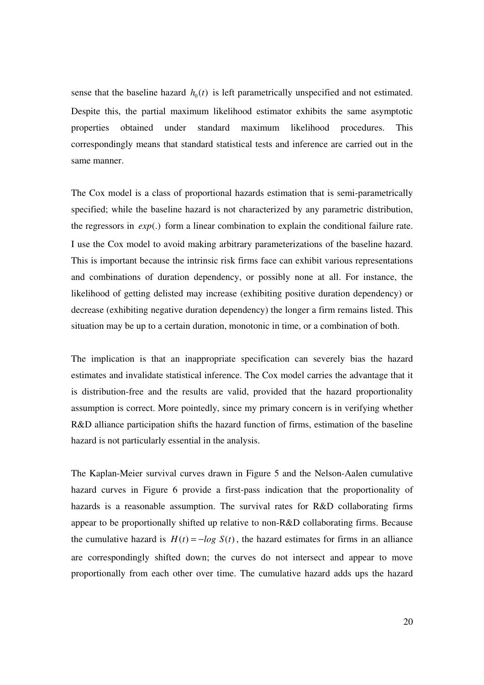sense that the baseline hazard  $h_0(t)$  is left parametrically unspecified and not estimated. Despite this, the partial maximum likelihood estimator exhibits the same asymptotic properties obtained under standard maximum likelihood procedures. This correspondingly means that standard statistical tests and inference are carried out in the same manner.

The Cox model is a class of proportional hazards estimation that is semi-parametrically specified; while the baseline hazard is not characterized by any parametric distribution, the regressors in *exp*(.) form a linear combination to explain the conditional failure rate. I use the Cox model to avoid making arbitrary parameterizations of the baseline hazard. This is important because the intrinsic risk firms face can exhibit various representations and combinations of duration dependency, or possibly none at all. For instance, the likelihood of getting delisted may increase (exhibiting positive duration dependency) or decrease (exhibiting negative duration dependency) the longer a firm remains listed. This situation may be up to a certain duration, monotonic in time, or a combination of both.

The implication is that an inappropriate specification can severely bias the hazard estimates and invalidate statistical inference. The Cox model carries the advantage that it is distribution-free and the results are valid, provided that the hazard proportionality assumption is correct. More pointedly, since my primary concern is in verifying whether R&D alliance participation shifts the hazard function of firms, estimation of the baseline hazard is not particularly essential in the analysis.

The Kaplan-Meier survival curves drawn in Figure 5 and the Nelson-Aalen cumulative hazard curves in Figure 6 provide a first-pass indication that the proportionality of hazards is a reasonable assumption. The survival rates for R&D collaborating firms appear to be proportionally shifted up relative to non-R&D collaborating firms. Because the cumulative hazard is  $H(t) = -\log S(t)$ , the hazard estimates for firms in an alliance are correspondingly shifted down; the curves do not intersect and appear to move proportionally from each other over time. The cumulative hazard adds ups the hazard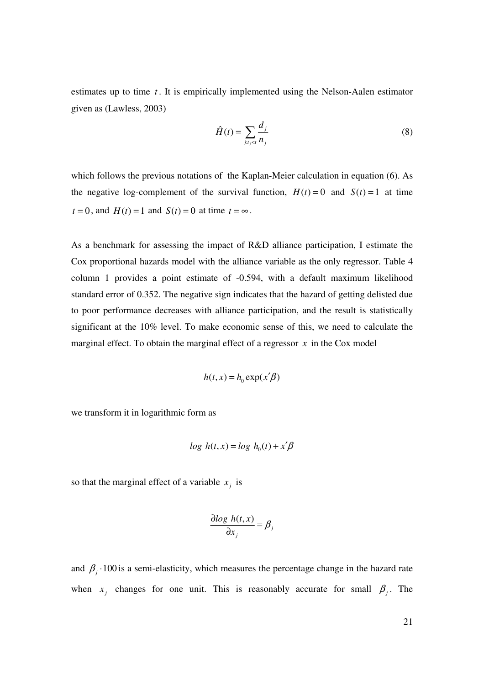estimates up to time *t* . It is empirically implemented using the Nelson-Aalen estimator given as (Lawless, 2003)

$$
\hat{H}(t) = \sum_{j:t_j < t} \frac{d_j}{n_j} \tag{8}
$$

which follows the previous notations of the Kaplan-Meier calculation in equation (6). As the negative log-complement of the survival function,  $H(t) = 0$  and  $S(t) = 1$  at time  $t = 0$ , and  $H(t) = 1$  and  $S(t) = 0$  at time  $t = \infty$ .

As a benchmark for assessing the impact of R&D alliance participation, I estimate the Cox proportional hazards model with the alliance variable as the only regressor. Table 4 column 1 provides a point estimate of -0.594, with a default maximum likelihood standard error of 0.352. The negative sign indicates that the hazard of getting delisted due to poor performance decreases with alliance participation, and the result is statistically significant at the 10% level. To make economic sense of this, we need to calculate the marginal effect. To obtain the marginal effect of a regressor  $x$  in the Cox model

$$
h(t, x) = h_0 \exp(x'\beta)
$$

we transform it in logarithmic form as

$$
\log h(t, x) = \log h_0(t) + x'\beta
$$

so that the marginal effect of a variable  $x_j$  is

$$
\frac{\partial \log h(t, x)}{\partial x_j} = \beta_j
$$

and  $\beta_j$  · 100 is a semi-elasticity, which measures the percentage change in the hazard rate when  $x_j$  changes for one unit. This is reasonably accurate for small  $\beta_j$ . The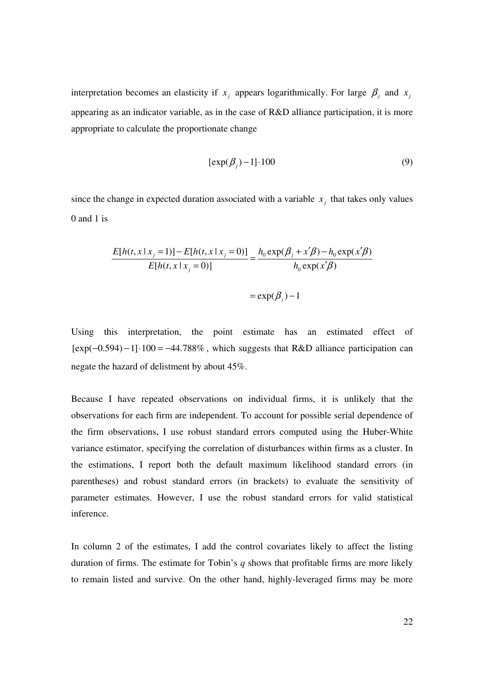interpretation becomes an elasticity if  $x_j$  appears logarithmically. For large  $\beta_j$  and  $x_j$ appearing as an indicator variable, as in the case of R&D alliance participation, it is more appropriate to calculate the proportionate change

$$
[\exp(\beta_j) - 1] \cdot 100\tag{9}
$$

since the change in expected duration associated with a variable  $x_j$  that takes only values 0 and 1 is

$$
\frac{E[h(t, x \mid x_j = 1)] - E[h(t, x \mid x_j = 0)]}{E[h(t, x \mid x_j = 0)]} = \frac{h_0 \exp(\beta_j + x'\beta) - h_0 \exp(x'\beta)}{h_0 \exp(x'\beta)}
$$

 $= \exp(\beta_j) - 1$ 

Using this interpretation, the point estimate has an estimated effect of  $[exp(-0.594) - 1] \cdot 100 = -44.788\%$ , which suggests that R&D alliance participation can negate the hazard of delistment by about 45%.

Because I have repeated observations on individual firms, it is unlikely that the observations for each firm are independent. To account for possible serial dependence of the firm observations, I use robust standard errors computed using the Huber-White variance estimator, specifying the correlation of disturbances within firms as a cluster. In the estimations, I report both the default maximum likelihood standard errors (in parentheses) and robust standard errors (in brackets) to evaluate the sensitivity of parameter estimates. However, I use the robust standard errors for valid statistical inference.

In column 2 of the estimates, I add the control covariates likely to affect the listing duration of firms. The estimate for Tobin's *q* shows that profitable firms are more likely to remain listed and survive. On the other hand, highly-leveraged firms may be more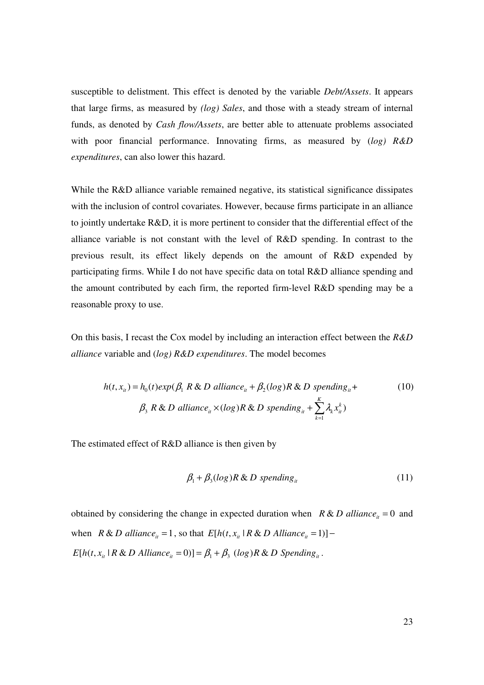susceptible to delistment. This effect is denoted by the variable *Debt/Assets*. It appears that large firms, as measured by *(log) Sales*, and those with a steady stream of internal funds, as denoted by *Cash flow/Assets*, are better able to attenuate problems associated with poor financial performance. Innovating firms, as measured by (*log) R&D expenditures*, can also lower this hazard.

While the R&D alliance variable remained negative, its statistical significance dissipates with the inclusion of control covariates. However, because firms participate in an alliance to jointly undertake R&D, it is more pertinent to consider that the differential effect of the alliance variable is not constant with the level of R&D spending. In contrast to the previous result, its effect likely depends on the amount of R&D expended by participating firms. While I do not have specific data on total R&D alliance spending and the amount contributed by each firm, the reported firm-level R&D spending may be a reasonable proxy to use.

On this basis, I recast the Cox model by including an interaction effect between the *R&D alliance* variable and (*log) R&D expenditures*. The model becomes

$$
h(t, x_{it}) = h_0(t) \exp(\beta_1 \, R \, \& \, D \, \text{alliance}_{it} + \beta_2(\log) R \, \& \, D \, \text{spending}_{it} +
$$
\n
$$
\beta_3 \, R \, \& \, D \, \text{alliance}_{it} \times (\log) R \, \& \, D \, \text{spending}_{it} + \sum_{k=1}^{K} \lambda_k x_{it}^k)
$$
\n
$$
(10)
$$

The estimated effect of R&D alliance is then given by

$$
\beta_1 + \beta_3 (\log) R \& D \text{ spending}_{it} \tag{11}
$$

obtained by considering the change in expected duration when  $R & D$  *alliance*<sub>*it*</sub> = 0 and when  $R \& D \text{ all} iance_i = 1$ , so that  $E[h(t, x_i \mid R \& D \text{ All} iance_i = 1)]$  –  $E[h(t, x_{ii} \mid R \& D \text{ Alliance}_{ii} = 0)] = \beta_1 + \beta_3 (log)R \& D \text{ Spending}_{ii}$ .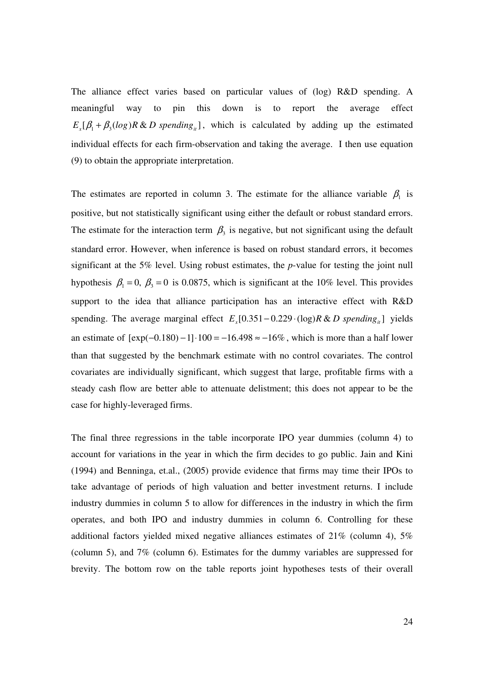The alliance effect varies based on particular values of (log) R&D spending. A meaningful way to pin this down is to report the average effect  $E_x[\beta_1 + \beta_3(\log)R \& D \text{ spending}_{ii}],$  which is calculated by adding up the estimated individual effects for each firm-observation and taking the average. I then use equation (9) to obtain the appropriate interpretation.

The estimates are reported in column 3. The estimate for the alliance variable  $\beta_1$  is positive, but not statistically significant using either the default or robust standard errors. The estimate for the interaction term  $\beta_3$  is negative, but not significant using the default standard error. However, when inference is based on robust standard errors, it becomes significant at the 5% level. Using robust estimates, the *p*-value for testing the joint null hypothesis  $\beta_1 = 0$ ,  $\beta_3 = 0$  is 0.0875, which is significant at the 10% level. This provides support to the idea that alliance participation has an interactive effect with R&D spending. The average marginal effect  $E_r[0.351 - 0.229 \cdot (\log) R \& D$  *spending*<sub>*ii*</sub> yields an estimate of  $[exp(-0.180) - 1] \cdot 100 = -16.498 \approx -16\%$ , which is more than a half lower than that suggested by the benchmark estimate with no control covariates. The control covariates are individually significant, which suggest that large, profitable firms with a steady cash flow are better able to attenuate delistment; this does not appear to be the case for highly-leveraged firms.

The final three regressions in the table incorporate IPO year dummies (column 4) to account for variations in the year in which the firm decides to go public. Jain and Kini (1994) and Benninga, et.al., (2005) provide evidence that firms may time their IPOs to take advantage of periods of high valuation and better investment returns. I include industry dummies in column 5 to allow for differences in the industry in which the firm operates, and both IPO and industry dummies in column 6. Controlling for these additional factors yielded mixed negative alliances estimates of 21% (column 4), 5% (column 5), and 7% (column 6). Estimates for the dummy variables are suppressed for brevity. The bottom row on the table reports joint hypotheses tests of their overall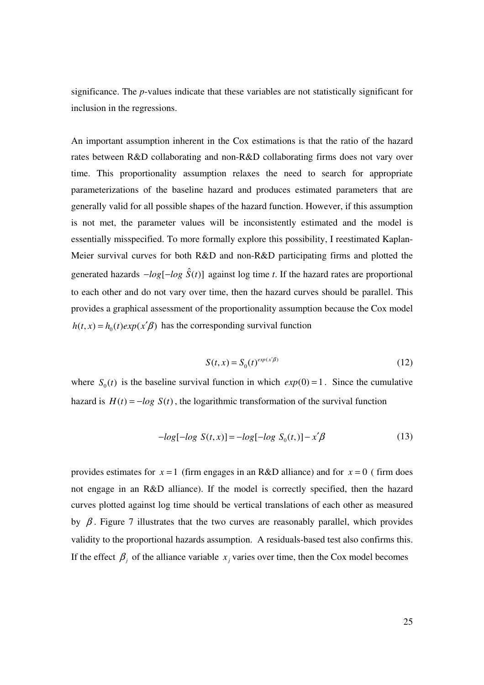significance. The *p*-values indicate that these variables are not statistically significant for inclusion in the regressions.

An important assumption inherent in the Cox estimations is that the ratio of the hazard rates between R&D collaborating and non-R&D collaborating firms does not vary over time. This proportionality assumption relaxes the need to search for appropriate parameterizations of the baseline hazard and produces estimated parameters that are generally valid for all possible shapes of the hazard function. However, if this assumption is not met, the parameter values will be inconsistently estimated and the model is essentially misspecified. To more formally explore this possibility, I reestimated Kaplan-Meier survival curves for both R&D and non-R&D participating firms and plotted the generated hazards  $-\log[-\log \hat{S}(t)]$  against log time *t*. If the hazard rates are proportional to each other and do not vary over time, then the hazard curves should be parallel. This provides a graphical assessment of the proportionality assumption because the Cox model  $h(t, x) = h_0(t) exp(x'\beta)$  has the corresponding survival function

$$
S(t, x) = S_0(t)^{exp(x/\beta)}
$$
\n(12)

where  $S_0(t)$  is the baseline survival function in which  $exp(0) = 1$ . Since the cumulative hazard is  $H(t) = -\log S(t)$ , the logarithmic transformation of the survival function

$$
-log[-log S(t, x)] = -log[-log S0(t,)] - x'\beta
$$
\n(13)

provides estimates for  $x = 1$  (firm engages in an R&D alliance) and for  $x = 0$  (firm does not engage in an R&D alliance). If the model is correctly specified, then the hazard curves plotted against log time should be vertical translations of each other as measured by  $\beta$ . Figure 7 illustrates that the two curves are reasonably parallel, which provides validity to the proportional hazards assumption. A residuals-based test also confirms this. If the effect  $\beta_j$  of the alliance variable  $x_j$  varies over time, then the Cox model becomes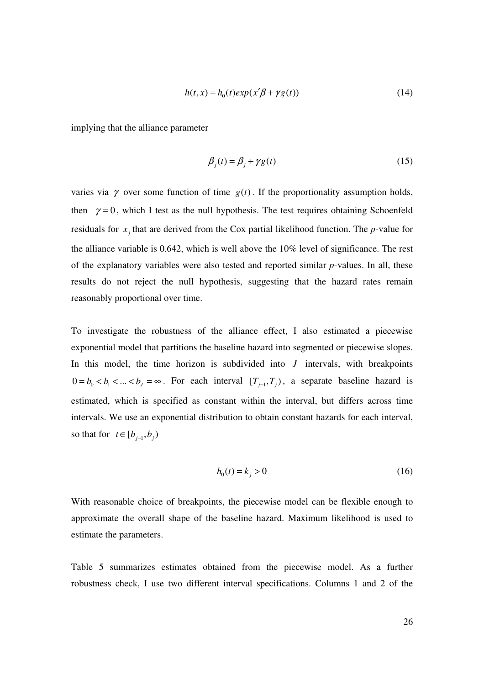$$
h(t, x) = h_0(t) \exp(x'\beta + \gamma g(t))
$$
\n(14)

implying that the alliance parameter

$$
\beta_j(t) = \beta_j + \gamma g(t) \tag{15}
$$

varies via  $\gamma$  over some function of time  $g(t)$ . If the proportionality assumption holds, then  $\gamma = 0$ , which I test as the null hypothesis. The test requires obtaining Schoenfeld residuals for  $x_j$  that are derived from the Cox partial likelihood function. The *p*-value for the alliance variable is 0.642, which is well above the 10% level of significance. The rest of the explanatory variables were also tested and reported similar *p*-values. In all, these results do not reject the null hypothesis, suggesting that the hazard rates remain reasonably proportional over time.

To investigate the robustness of the alliance effect, I also estimated a piecewise exponential model that partitions the baseline hazard into segmented or piecewise slopes. In this model, the time horizon is subdivided into *J* intervals, with breakpoints  $0 = b_0 < b_1 < ... < b_j = \infty$ . For each interval  $[T_{j-1}, T_j)$ , a separate baseline hazard is estimated, which is specified as constant within the interval, but differs across time intervals. We use an exponential distribution to obtain constant hazards for each interval, so that for  $t \in [b_{j-1}, b_j)$ 

$$
h_0(t) = k_j > 0 \tag{16}
$$

With reasonable choice of breakpoints, the piecewise model can be flexible enough to approximate the overall shape of the baseline hazard. Maximum likelihood is used to estimate the parameters.

Table 5 summarizes estimates obtained from the piecewise model. As a further robustness check, I use two different interval specifications. Columns 1 and 2 of the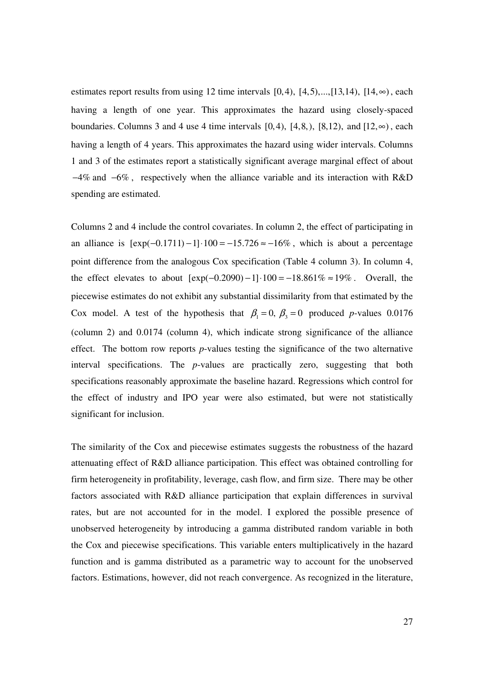estimates report results from using 12 time intervals  $[0,4)$ ,  $[4,5)$ ,..., $[13,14)$ ,  $[14, \infty)$ , each having a length of one year. This approximates the hazard using closely-spaced boundaries. Columns 3 and 4 use 4 time intervals  $[0,4)$ ,  $[4,8)$ ,  $[8,12)$ , and  $[12,\infty)$ , each having a length of 4 years. This approximates the hazard using wider intervals. Columns 1 and 3 of the estimates report a statistically significant average marginal effect of about −4% and −6% , respectively when the alliance variable and its interaction with R&D spending are estimated.

Columns 2 and 4 include the control covariates. In column 2, the effect of participating in an alliance is  $[exp(-0.1711) - 1] \cdot 100 = -15.726 \approx -16\%$ , which is about a percentage point difference from the analogous Cox specification (Table 4 column 3). In column 4, the effect elevates to about  $[exp(-0.2090) - 1] \cdot 100 = -18.861\% \approx 19\%$ . Overall, the piecewise estimates do not exhibit any substantial dissimilarity from that estimated by the Cox model. A test of the hypothesis that  $\beta_1 = 0$ ,  $\beta_3 = 0$  produced *p*-values 0.0176 (column 2) and 0.0174 (column 4), which indicate strong significance of the alliance effect. The bottom row reports *p*-values testing the significance of the two alternative interval specifications. The *p*-values are practically zero, suggesting that both specifications reasonably approximate the baseline hazard. Regressions which control for the effect of industry and IPO year were also estimated, but were not statistically significant for inclusion.

The similarity of the Cox and piecewise estimates suggests the robustness of the hazard attenuating effect of R&D alliance participation. This effect was obtained controlling for firm heterogeneity in profitability, leverage, cash flow, and firm size. There may be other factors associated with R&D alliance participation that explain differences in survival rates, but are not accounted for in the model. I explored the possible presence of unobserved heterogeneity by introducing a gamma distributed random variable in both the Cox and piecewise specifications. This variable enters multiplicatively in the hazard function and is gamma distributed as a parametric way to account for the unobserved factors. Estimations, however, did not reach convergence. As recognized in the literature,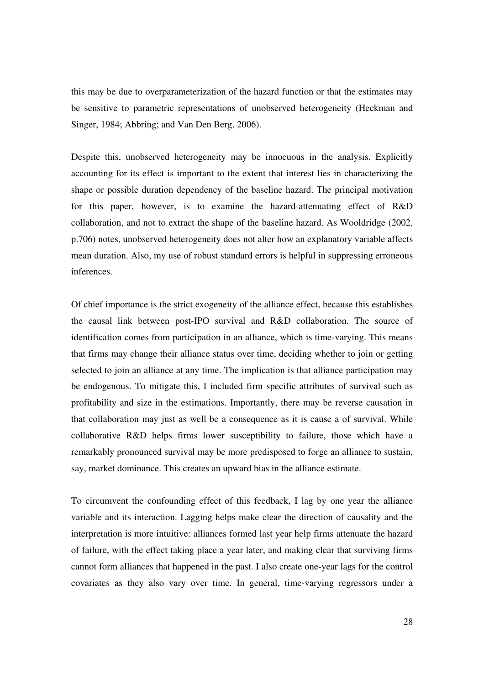this may be due to overparameterization of the hazard function or that the estimates may be sensitive to parametric representations of unobserved heterogeneity (Heckman and Singer, 1984; Abbring; and Van Den Berg, 2006).

Despite this, unobserved heterogeneity may be innocuous in the analysis. Explicitly accounting for its effect is important to the extent that interest lies in characterizing the shape or possible duration dependency of the baseline hazard. The principal motivation for this paper, however, is to examine the hazard-attenuating effect of R&D collaboration, and not to extract the shape of the baseline hazard. As Wooldridge (2002, p.706) notes, unobserved heterogeneity does not alter how an explanatory variable affects mean duration. Also, my use of robust standard errors is helpful in suppressing erroneous inferences.

Of chief importance is the strict exogeneity of the alliance effect, because this establishes the causal link between post-IPO survival and R&D collaboration. The source of identification comes from participation in an alliance, which is time-varying. This means that firms may change their alliance status over time, deciding whether to join or getting selected to join an alliance at any time. The implication is that alliance participation may be endogenous. To mitigate this, I included firm specific attributes of survival such as profitability and size in the estimations. Importantly, there may be reverse causation in that collaboration may just as well be a consequence as it is cause a of survival. While collaborative R&D helps firms lower susceptibility to failure, those which have a remarkably pronounced survival may be more predisposed to forge an alliance to sustain, say, market dominance. This creates an upward bias in the alliance estimate.

To circumvent the confounding effect of this feedback, I lag by one year the alliance variable and its interaction. Lagging helps make clear the direction of causality and the interpretation is more intuitive: alliances formed last year help firms attenuate the hazard of failure, with the effect taking place a year later, and making clear that surviving firms cannot form alliances that happened in the past. I also create one-year lags for the control covariates as they also vary over time. In general, time-varying regressors under a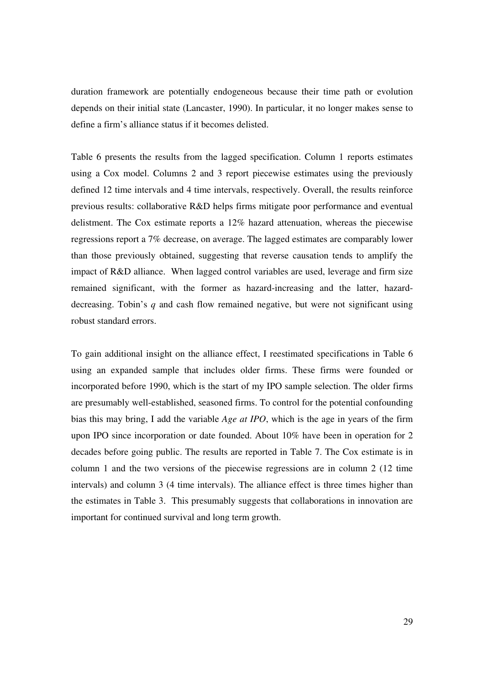duration framework are potentially endogeneous because their time path or evolution depends on their initial state (Lancaster, 1990). In particular, it no longer makes sense to define a firm's alliance status if it becomes delisted.

Table 6 presents the results from the lagged specification. Column 1 reports estimates using a Cox model. Columns 2 and 3 report piecewise estimates using the previously defined 12 time intervals and 4 time intervals, respectively. Overall, the results reinforce previous results: collaborative R&D helps firms mitigate poor performance and eventual delistment. The Cox estimate reports a 12% hazard attenuation, whereas the piecewise regressions report a 7% decrease, on average. The lagged estimates are comparably lower than those previously obtained, suggesting that reverse causation tends to amplify the impact of R&D alliance. When lagged control variables are used, leverage and firm size remained significant, with the former as hazard-increasing and the latter, hazarddecreasing. Tobin's *q* and cash flow remained negative, but were not significant using robust standard errors.

To gain additional insight on the alliance effect, I reestimated specifications in Table 6 using an expanded sample that includes older firms. These firms were founded or incorporated before 1990, which is the start of my IPO sample selection. The older firms are presumably well-established, seasoned firms. To control for the potential confounding bias this may bring, I add the variable *Age at IPO*, which is the age in years of the firm upon IPO since incorporation or date founded. About 10% have been in operation for 2 decades before going public. The results are reported in Table 7. The Cox estimate is in column 1 and the two versions of the piecewise regressions are in column 2 (12 time intervals) and column 3 (4 time intervals). The alliance effect is three times higher than the estimates in Table 3. This presumably suggests that collaborations in innovation are important for continued survival and long term growth.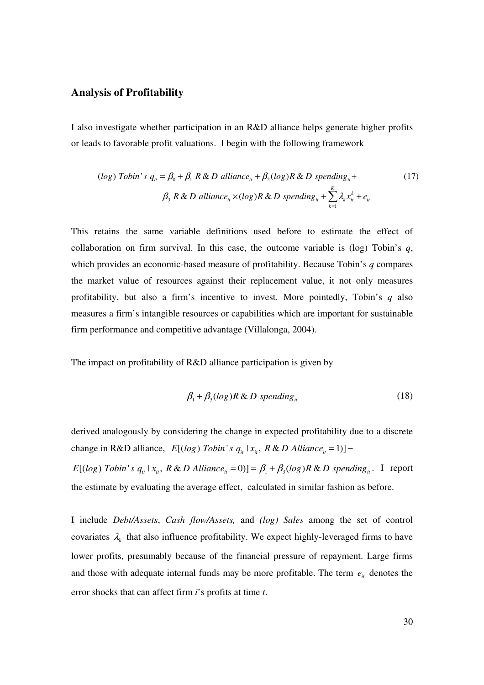#### **Analysis of Profitability**

I also investigate whether participation in an R&D alliance helps generate higher profits or leads to favorable profit valuations. I begin with the following framework

(*log*) *Tobin's* 
$$
q_{ii} = \beta_0 + \beta_1 R \& D \text{ alliance}_{ii} + \beta_2(log)R \& D \text{ spending}_{ii} +
$$
  
\n $\beta_3 R \& D \text{ alliance}_{ii} \times (log)R \& D \text{ spending}_{ii} + \sum_{k=1}^{K} \lambda_k x_{it}^k + e_{it}$  (17)

This retains the same variable definitions used before to estimate the effect of collaboration on firm survival. In this case, the outcome variable is (log) Tobin's *q*, which provides an economic-based measure of profitability. Because Tobin's *q* compares the market value of resources against their replacement value, it not only measures profitability, but also a firm's incentive to invest. More pointedly, Tobin's *q* also measures a firm's intangible resources or capabilities which are important for sustainable firm performance and competitive advantage (Villalonga, 2004).

The impact on profitability of R&D alliance participation is given by

$$
\beta_1 + \beta_3(\log) R \& D \text{ spending}_{it} \tag{18}
$$

derived analogously by considering the change in expected profitability due to a discrete change in R&D alliance,  $E[(log) Tobin's q_{it} | x_{it}, R & D \text{ Alliance}_{it} = 1)]$  –

 $E[(log) Tobin's q_{it} | x_{it}, R & D \text{ Alliance}_{it} = 0)] = \beta_1 + \beta_3(log) R & D \text{ spending}_{it}.$  I report the estimate by evaluating the average effect, calculated in similar fashion as before.

I include *Debt/Assets*, *Cash flow/Assets,* and *(log) Sales* among the set of control covariates  $\lambda_k$  that also influence profitability. We expect highly-leveraged firms to have lower profits, presumably because of the financial pressure of repayment. Large firms and those with adequate internal funds may be more profitable. The term  $e_i$  denotes the error shocks that can affect firm *i*'s profits at time *t*.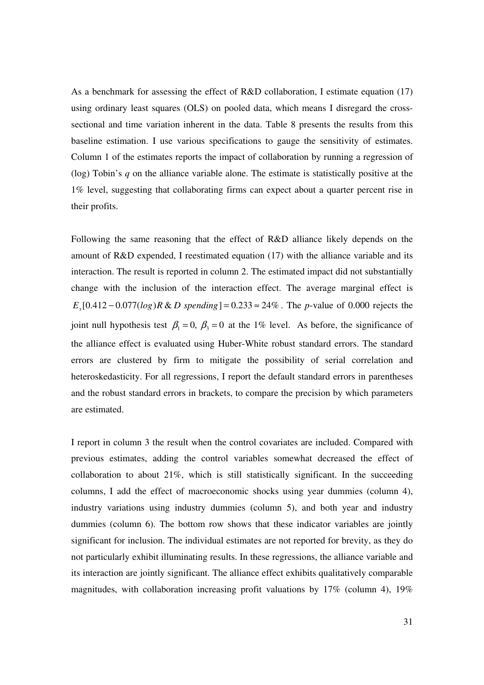As a benchmark for assessing the effect of R&D collaboration, I estimate equation (17) using ordinary least squares (OLS) on pooled data, which means I disregard the crosssectional and time variation inherent in the data. Table 8 presents the results from this baseline estimation. I use various specifications to gauge the sensitivity of estimates. Column 1 of the estimates reports the impact of collaboration by running a regression of (log) Tobin's *q* on the alliance variable alone. The estimate is statistically positive at the 1% level, suggesting that collaborating firms can expect about a quarter percent rise in their profits.

Following the same reasoning that the effect of R&D alliance likely depends on the amount of R&D expended, I reestimated equation (17) with the alliance variable and its interaction. The result is reported in column 2. The estimated impact did not substantially change with the inclusion of the interaction effect. The average marginal effect is  $E_x[0.412 - 0.077(log)R \& D$  *spending* ] = 0.233  $\approx 24\%$ . The *p*-value of 0.000 rejects the joint null hypothesis test  $\beta_1 = 0$ ,  $\beta_3 = 0$  at the 1% level. As before, the significance of the alliance effect is evaluated using Huber-White robust standard errors. The standard errors are clustered by firm to mitigate the possibility of serial correlation and heteroskedasticity. For all regressions, I report the default standard errors in parentheses and the robust standard errors in brackets, to compare the precision by which parameters are estimated.

I report in column 3 the result when the control covariates are included. Compared with previous estimates, adding the control variables somewhat decreased the effect of collaboration to about 21%, which is still statistically significant. In the succeeding columns, I add the effect of macroeconomic shocks using year dummies (column 4), industry variations using industry dummies (column 5), and both year and industry dummies (column 6). The bottom row shows that these indicator variables are jointly significant for inclusion. The individual estimates are not reported for brevity, as they do not particularly exhibit illuminating results. In these regressions, the alliance variable and its interaction are jointly significant. The alliance effect exhibits qualitatively comparable magnitudes, with collaboration increasing profit valuations by 17% (column 4), 19%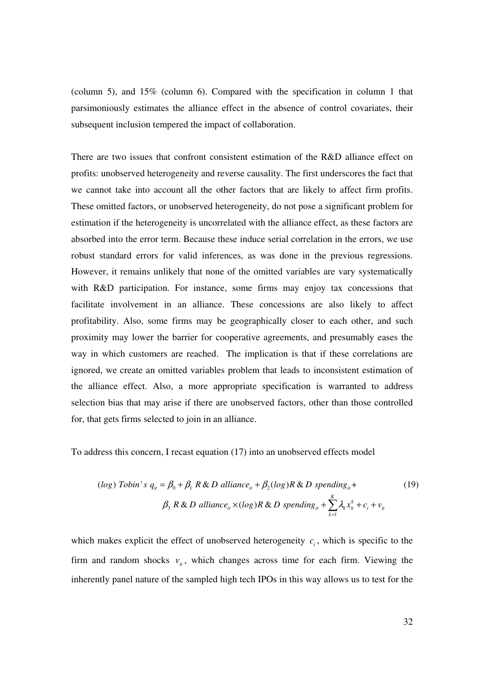(column 5), and 15% (column 6). Compared with the specification in column 1 that parsimoniously estimates the alliance effect in the absence of control covariates, their subsequent inclusion tempered the impact of collaboration.

There are two issues that confront consistent estimation of the R&D alliance effect on profits: unobserved heterogeneity and reverse causality. The first underscores the fact that we cannot take into account all the other factors that are likely to affect firm profits. These omitted factors, or unobserved heterogeneity, do not pose a significant problem for estimation if the heterogeneity is uncorrelated with the alliance effect, as these factors are absorbed into the error term. Because these induce serial correlation in the errors, we use robust standard errors for valid inferences, as was done in the previous regressions. However, it remains unlikely that none of the omitted variables are vary systematically with R&D participation. For instance, some firms may enjoy tax concessions that facilitate involvement in an alliance. These concessions are also likely to affect profitability. Also, some firms may be geographically closer to each other, and such proximity may lower the barrier for cooperative agreements, and presumably eases the way in which customers are reached. The implication is that if these correlations are ignored, we create an omitted variables problem that leads to inconsistent estimation of the alliance effect. Also, a more appropriate specification is warranted to address selection bias that may arise if there are unobserved factors, other than those controlled for, that gets firms selected to join in an alliance.

To address this concern, I recast equation (17) into an unobserved effects model

(*log*) *Tobin's* 
$$
q_{ii} = \beta_0 + \beta_1 R \& D \text{ alliance}_{ii} + \beta_2(log)R \& D \text{ spending}_{ii} +
$$
  
\n $\beta_3 R \& D \text{ alliance}_{ii} \times (log)R \& D \text{ spending}_{ii} + \sum_{k=1}^{K} \lambda_k x_{it}^k + c_i + v_{it}$  (19)

which makes explicit the effect of unobserved heterogeneity  $c_i$ , which is specific to the firm and random shocks  $v_{it}$ , which changes across time for each firm. Viewing the inherently panel nature of the sampled high tech IPOs in this way allows us to test for the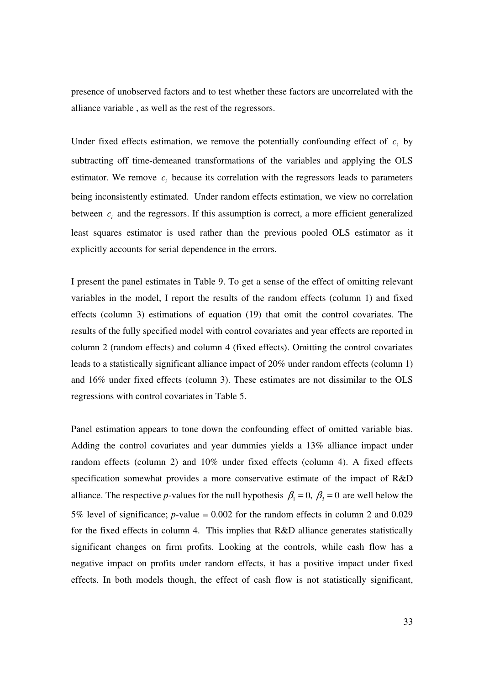presence of unobserved factors and to test whether these factors are uncorrelated with the alliance variable , as well as the rest of the regressors.

Under fixed effects estimation, we remove the potentially confounding effect of  $c_i$  by subtracting off time-demeaned transformations of the variables and applying the OLS estimator. We remove  $c_i$  because its correlation with the regressors leads to parameters being inconsistently estimated. Under random effects estimation, we view no correlation between  $c_i$  and the regressors. If this assumption is correct, a more efficient generalized least squares estimator is used rather than the previous pooled OLS estimator as it explicitly accounts for serial dependence in the errors.

I present the panel estimates in Table 9. To get a sense of the effect of omitting relevant variables in the model, I report the results of the random effects (column 1) and fixed effects (column 3) estimations of equation (19) that omit the control covariates. The results of the fully specified model with control covariates and year effects are reported in column 2 (random effects) and column 4 (fixed effects). Omitting the control covariates leads to a statistically significant alliance impact of 20% under random effects (column 1) and 16% under fixed effects (column 3). These estimates are not dissimilar to the OLS regressions with control covariates in Table 5.

Panel estimation appears to tone down the confounding effect of omitted variable bias. Adding the control covariates and year dummies yields a 13% alliance impact under random effects (column 2) and 10% under fixed effects (column 4). A fixed effects specification somewhat provides a more conservative estimate of the impact of R&D alliance. The respective *p*-values for the null hypothesis  $\beta_1 = 0$ ,  $\beta_3 = 0$  are well below the 5% level of significance; *p*-value = 0.002 for the random effects in column 2 and 0.029 for the fixed effects in column 4. This implies that R&D alliance generates statistically significant changes on firm profits. Looking at the controls, while cash flow has a negative impact on profits under random effects, it has a positive impact under fixed effects. In both models though, the effect of cash flow is not statistically significant,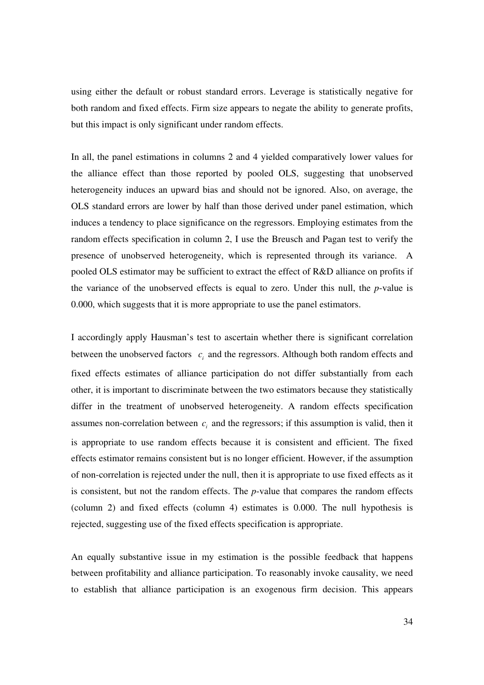using either the default or robust standard errors. Leverage is statistically negative for both random and fixed effects. Firm size appears to negate the ability to generate profits, but this impact is only significant under random effects.

In all, the panel estimations in columns 2 and 4 yielded comparatively lower values for the alliance effect than those reported by pooled OLS, suggesting that unobserved heterogeneity induces an upward bias and should not be ignored. Also, on average, the OLS standard errors are lower by half than those derived under panel estimation, which induces a tendency to place significance on the regressors. Employing estimates from the random effects specification in column 2, I use the Breusch and Pagan test to verify the presence of unobserved heterogeneity, which is represented through its variance. A pooled OLS estimator may be sufficient to extract the effect of R&D alliance on profits if the variance of the unobserved effects is equal to zero. Under this null, the *p*-value is 0.000, which suggests that it is more appropriate to use the panel estimators.

I accordingly apply Hausman's test to ascertain whether there is significant correlation between the unobserved factors  $c_i$  and the regressors. Although both random effects and fixed effects estimates of alliance participation do not differ substantially from each other, it is important to discriminate between the two estimators because they statistically differ in the treatment of unobserved heterogeneity. A random effects specification assumes non-correlation between  $c_i$  and the regressors; if this assumption is valid, then it is appropriate to use random effects because it is consistent and efficient. The fixed effects estimator remains consistent but is no longer efficient. However, if the assumption of non-correlation is rejected under the null, then it is appropriate to use fixed effects as it is consistent, but not the random effects. The *p*-value that compares the random effects (column 2) and fixed effects (column 4) estimates is 0.000. The null hypothesis is rejected, suggesting use of the fixed effects specification is appropriate.

An equally substantive issue in my estimation is the possible feedback that happens between profitability and alliance participation. To reasonably invoke causality, we need to establish that alliance participation is an exogenous firm decision. This appears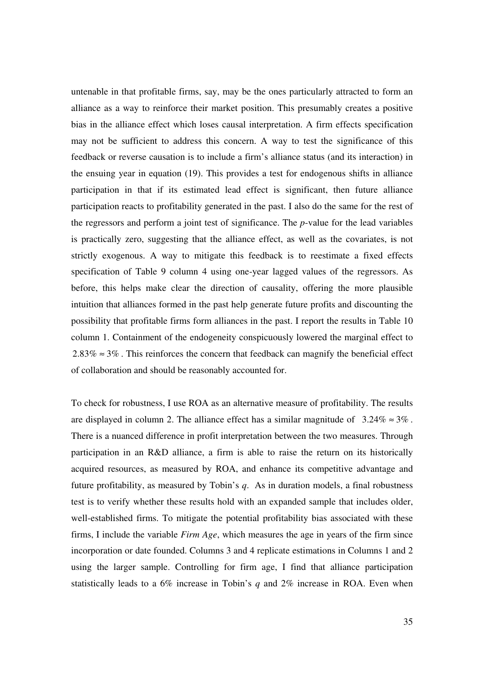untenable in that profitable firms, say, may be the ones particularly attracted to form an alliance as a way to reinforce their market position. This presumably creates a positive bias in the alliance effect which loses causal interpretation. A firm effects specification may not be sufficient to address this concern. A way to test the significance of this feedback or reverse causation is to include a firm's alliance status (and its interaction) in the ensuing year in equation (19). This provides a test for endogenous shifts in alliance participation in that if its estimated lead effect is significant, then future alliance participation reacts to profitability generated in the past. I also do the same for the rest of the regressors and perform a joint test of significance. The *p*-value for the lead variables is practically zero, suggesting that the alliance effect, as well as the covariates, is not strictly exogenous. A way to mitigate this feedback is to reestimate a fixed effects specification of Table 9 column 4 using one-year lagged values of the regressors. As before, this helps make clear the direction of causality, offering the more plausible intuition that alliances formed in the past help generate future profits and discounting the possibility that profitable firms form alliances in the past. I report the results in Table 10 column 1. Containment of the endogeneity conspicuously lowered the marginal effect to  $2.83\% \approx 3\%$ . This reinforces the concern that feedback can magnify the beneficial effect of collaboration and should be reasonably accounted for.

To check for robustness, I use ROA as an alternative measure of profitability. The results are displayed in column 2. The alliance effect has a similar magnitude of  $3.24\% \approx 3\%$ . There is a nuanced difference in profit interpretation between the two measures. Through participation in an R&D alliance, a firm is able to raise the return on its historically acquired resources, as measured by ROA, and enhance its competitive advantage and future profitability, as measured by Tobin's *q*. As in duration models, a final robustness test is to verify whether these results hold with an expanded sample that includes older, well-established firms. To mitigate the potential profitability bias associated with these firms, I include the variable *Firm Age*, which measures the age in years of the firm since incorporation or date founded. Columns 3 and 4 replicate estimations in Columns 1 and 2 using the larger sample. Controlling for firm age, I find that alliance participation statistically leads to a 6% increase in Tobin's *q* and 2% increase in ROA. Even when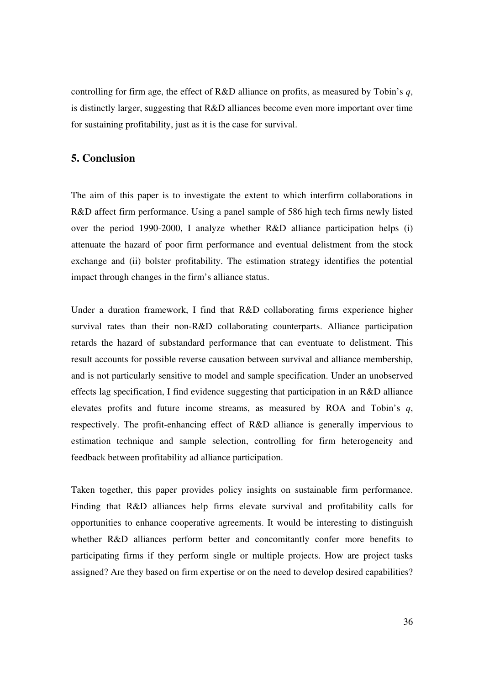controlling for firm age, the effect of R&D alliance on profits, as measured by Tobin's *q*, is distinctly larger, suggesting that R&D alliances become even more important over time for sustaining profitability, just as it is the case for survival.

### **5. Conclusion**

The aim of this paper is to investigate the extent to which interfirm collaborations in R&D affect firm performance. Using a panel sample of 586 high tech firms newly listed over the period 1990-2000, I analyze whether R&D alliance participation helps (i) attenuate the hazard of poor firm performance and eventual delistment from the stock exchange and (ii) bolster profitability. The estimation strategy identifies the potential impact through changes in the firm's alliance status.

Under a duration framework, I find that R&D collaborating firms experience higher survival rates than their non-R&D collaborating counterparts. Alliance participation retards the hazard of substandard performance that can eventuate to delistment. This result accounts for possible reverse causation between survival and alliance membership, and is not particularly sensitive to model and sample specification. Under an unobserved effects lag specification, I find evidence suggesting that participation in an R&D alliance elevates profits and future income streams, as measured by ROA and Tobin's *q*, respectively. The profit-enhancing effect of R&D alliance is generally impervious to estimation technique and sample selection, controlling for firm heterogeneity and feedback between profitability ad alliance participation.

Taken together, this paper provides policy insights on sustainable firm performance. Finding that R&D alliances help firms elevate survival and profitability calls for opportunities to enhance cooperative agreements. It would be interesting to distinguish whether R&D alliances perform better and concomitantly confer more benefits to participating firms if they perform single or multiple projects. How are project tasks assigned? Are they based on firm expertise or on the need to develop desired capabilities?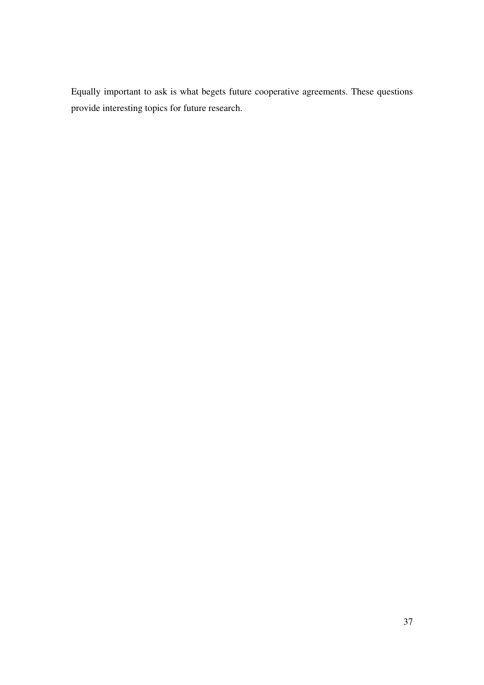Equally important to ask is what begets future cooperative agreements. These questions provide interesting topics for future research.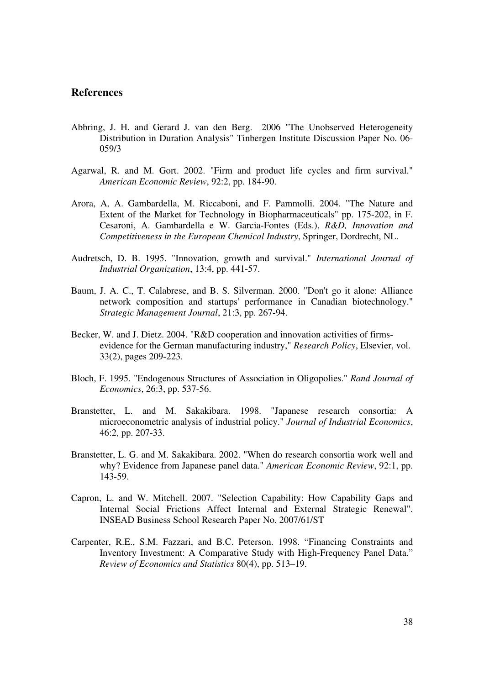### **References**

- Abbring, J. H. and Gerard J. van den Berg. 2006 "The Unobserved Heterogeneity Distribution in Duration Analysis" Tinbergen Institute Discussion Paper No. 06- 059/3
- Agarwal, R. and M. Gort. 2002. "Firm and product life cycles and firm survival." *American Economic Review*, 92:2, pp. 184-90.
- Arora, A, A. Gambardella, M. Riccaboni, and F. Pammolli. 2004. "The Nature and Extent of the Market for Technology in Biopharmaceuticals" pp. 175-202, in F. Cesaroni, A. Gambardella e W. Garcia-Fontes (Eds.), *R&D, Innovation and Competitiveness in the European Chemical Industry*, Springer, Dordrecht, NL.
- Audretsch, D. B. 1995. "Innovation, growth and survival." *International Journal of Industrial Organization*, 13:4, pp. 441-57.
- Baum, J. A. C., T. Calabrese, and B. S. Silverman. 2000. "Don't go it alone: Alliance network composition and startups' performance in Canadian biotechnology." *Strategic Management Journal*, 21:3, pp. 267-94.
- Becker, W. and J. Dietz. 2004. "R&D cooperation and innovation activities of firms evidence for the German manufacturing industry," *Research Policy*, Elsevier, vol. 33(2), pages 209-223.
- Bloch, F. 1995. "Endogenous Structures of Association in Oligopolies." *Rand Journal of Economics*, 26:3, pp. 537-56.
- Branstetter, L. and M. Sakakibara. 1998. "Japanese research consortia: A microeconometric analysis of industrial policy." *Journal of Industrial Economics*, 46:2, pp. 207-33.
- Branstetter, L. G. and M. Sakakibara. 2002. "When do research consortia work well and why? Evidence from Japanese panel data." *American Economic Review*, 92:1, pp. 143-59.
- Capron, L. and W. Mitchell. 2007. "Selection Capability: How Capability Gaps and Internal Social Frictions Affect Internal and External Strategic Renewal". INSEAD Business School Research Paper No. 2007/61/ST
- Carpenter, R.E., S.M. Fazzari, and B.C. Peterson. 1998. "Financing Constraints and Inventory Investment: A Comparative Study with High-Frequency Panel Data." *Review of Economics and Statistics* 80(4), pp. 513–19.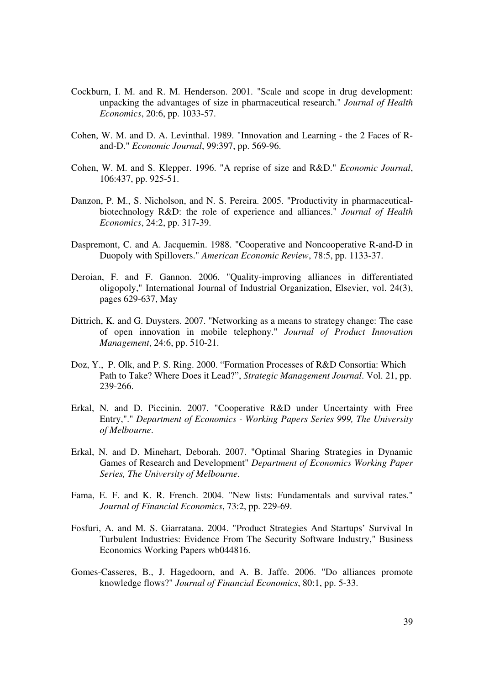- Cockburn, I. M. and R. M. Henderson. 2001. "Scale and scope in drug development: unpacking the advantages of size in pharmaceutical research." *Journal of Health Economics*, 20:6, pp. 1033-57.
- Cohen, W. M. and D. A. Levinthal. 1989. "Innovation and Learning the 2 Faces of R and-D." *Economic Journal*, 99:397, pp. 569-96.
- Cohen, W. M. and S. Klepper. 1996. "A reprise of size and R&D." *Economic Journal*, 106:437, pp. 925-51.
- Danzon, P. M., S. Nicholson, and N. S. Pereira. 2005. "Productivity in pharmaceutical biotechnology R&D: the role of experience and alliances." *Journal of Health Economics*, 24:2, pp. 317-39.
- Daspremont, C. and A. Jacquemin. 1988. "Cooperative and Noncooperative R-and-D in Duopoly with Spillovers." *American Economic Review*, 78:5, pp. 1133-37.
- Deroian, F. and F. Gannon. 2006. "Quality-improving alliances in differentiated oligopoly," International Journal of Industrial Organization, Elsevier, vol. 24(3), pages 629-637, May
- Dittrich, K. and G. Duysters. 2007. "Networking as a means to strategy change: The case of open innovation in mobile telephony." *Journal of Product Innovation Management*, 24:6, pp. 510-21.
- Doz, Y., P. Olk, and P. S. Ring. 2000. "Formation Processes of R&D Consortia: Which Path to Take? Where Does it Lead?", *Strategic Management Journal*. Vol. 21, pp. 239-266.
- Erkal, N. and D. Piccinin. 2007. "Cooperative R&D under Uncertainty with Free Entry,"." *Department of Economics - Working Papers Series 999, The University of Melbourne*.
- Erkal, N. and D. Minehart, Deborah. 2007. "Optimal Sharing Strategies in Dynamic Games of Research and Development" *Department of Economics Working Paper Series, The University of Melbourne*.
- Fama, E. F. and K. R. French. 2004. "New lists: Fundamentals and survival rates." *Journal of Financial Economics*, 73:2, pp. 229-69.
- Fosfuri, A. and M. S. Giarratana. 2004. "Product Strategies And Startups' Survival In Turbulent Industries: Evidence From The Security Software Industry," Business Economics Working Papers wb044816.
- Gomes-Casseres, B., J. Hagedoorn, and A. B. Jaffe. 2006. "Do alliances promote knowledge flows?" *Journal of Financial Economics*, 80:1, pp. 5-33.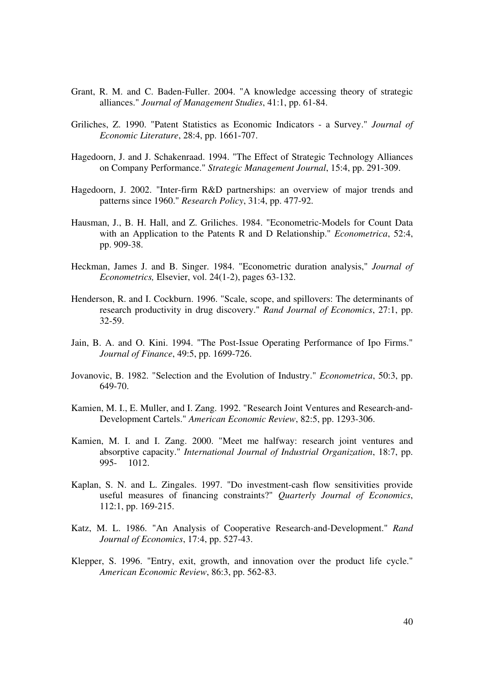- Grant, R. M. and C. Baden-Fuller. 2004. "A knowledge accessing theory of strategic alliances." *Journal of Management Studies*, 41:1, pp. 61-84.
- Griliches, Z. 1990. "Patent Statistics as Economic Indicators a Survey." *Journal of Economic Literature*, 28:4, pp. 1661-707.
- Hagedoorn, J. and J. Schakenraad. 1994. "The Effect of Strategic Technology Alliances on Company Performance." *Strategic Management Journal*, 15:4, pp. 291-309.
- Hagedoorn, J. 2002. "Inter-firm R&D partnerships: an overview of major trends and patterns since 1960." *Research Policy*, 31:4, pp. 477-92.
- Hausman, J., B. H. Hall, and Z. Griliches. 1984. "Econometric-Models for Count Data with an Application to the Patents R and D Relationship." *Econometrica*, 52:4, pp. 909-38.
- Heckman, James J. and B. Singer. 1984. "Econometric duration analysis," *Journal of Econometrics,* Elsevier, vol. 24(1-2), pages 63-132.
- Henderson, R. and I. Cockburn. 1996. "Scale, scope, and spillovers: The determinants of research productivity in drug discovery." *Rand Journal of Economics*, 27:1, pp. 32-59.
- Jain, B. A. and O. Kini. 1994. "The Post-Issue Operating Performance of Ipo Firms." *Journal of Finance*, 49:5, pp. 1699-726.
- Jovanovic, B. 1982. "Selection and the Evolution of Industry." *Econometrica*, 50:3, pp. 649-70.
- Kamien, M. I., E. Muller, and I. Zang. 1992. "Research Joint Ventures and Research-and- Development Cartels." *American Economic Review*, 82:5, pp. 1293-306.
- Kamien, M. I. and I. Zang. 2000. "Meet me halfway: research joint ventures and absorptive capacity." *International Journal of Industrial Organization*, 18:7, pp. 995- 1012.
- Kaplan, S. N. and L. Zingales. 1997. "Do investment-cash flow sensitivities provide useful measures of financing constraints?" *Quarterly Journal of Economics*, 112:1, pp. 169-215.
- Katz, M. L. 1986. "An Analysis of Cooperative Research-and-Development." *Rand Journal of Economics*, 17:4, pp. 527-43.
- Klepper, S. 1996. "Entry, exit, growth, and innovation over the product life cycle." *American Economic Review*, 86:3, pp. 562-83.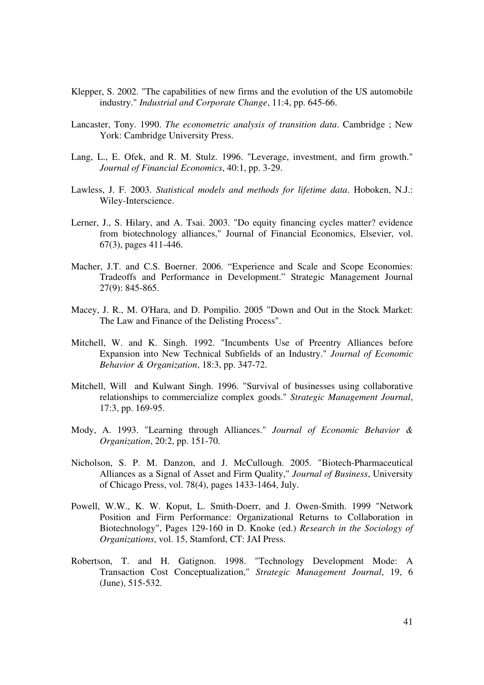- Klepper, S. 2002. "The capabilities of new firms and the evolution of the US automobile industry." *Industrial and Corporate Change*, 11:4, pp. 645-66.
- Lancaster, Tony. 1990. *The econometric analysis of transition data*. Cambridge ; New York: Cambridge University Press.
- Lang, L., E. Ofek, and R. M. Stulz. 1996. "Leverage, investment, and firm growth." *Journal of Financial Economics*, 40:1, pp. 3-29.
- Lawless, J. F. 2003. *Statistical models and methods for lifetime data*. Hoboken, N.J.: Wiley-Interscience.
- Lerner, J., S. Hilary, and A. Tsai. 2003. "Do equity financing cycles matter? evidence from biotechnology alliances," Journal of Financial Economics, Elsevier, vol. 67(3), pages 411-446.
- Macher, J.T. and C.S. Boerner. 2006. "Experience and Scale and Scope Economies: Tradeoffs and Performance in Development." Strategic Management Journal 27(9): 845-865.
- Macey, J. R., M. O'Hara, and D. Pompilio. 2005 "Down and Out in the Stock Market: The Law and Finance of the Delisting Process".
- Mitchell, W. and K. Singh. 1992. "Incumbents Use of Preentry Alliances before Expansion into New Technical Subfields of an Industry." *Journal of Economic Behavior & Organization*, 18:3, pp. 347-72.
- Mitchell, Will and Kulwant Singh. 1996. "Survival of businesses using collaborative relationships to commercialize complex goods." *Strategic Management Journal*, 17:3, pp. 169-95.
- Mody, A. 1993. "Learning through Alliances." *Journal of Economic Behavior & Organization*, 20:2, pp. 151-70.
- Nicholson, S. P. M. Danzon, and J. McCullough. 2005. "Biotech-Pharmaceutical Alliances as a Signal of Asset and Firm Quality," *Journal of Business*, University of Chicago Press, vol. 78(4), pages 1433-1464, July.
- Powell, W.W., K. W. Koput, L. Smith-Doerr, and J. Owen-Smith. 1999 "Network Position and Firm Performance: Organizational Returns to Collaboration in Biotechnology", Pages 129-160 in D. Knoke (ed.) *Research in the Sociology of Organizations*, vol. 15, Stamford, CT: JAI Press.
- Robertson, T. and H. Gatignon. 1998. "Technology Development Mode: A Transaction Cost Conceptualization," *Strategic Management Journal*, 19, 6 (June), 515-532.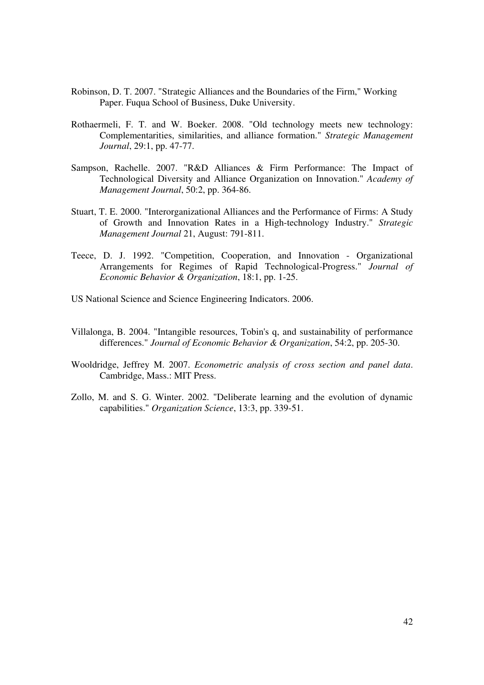- Robinson, D. T. 2007. "Strategic Alliances and the Boundaries of the Firm," Working Paper. Fuqua School of Business, Duke University.
- Rothaermeli, F. T. and W. Boeker. 2008. "Old technology meets new technology: Complementarities, similarities, and alliance formation." *Strategic Management Journal*, 29:1, pp. 47-77.
- Sampson, Rachelle. 2007. "R&D Alliances & Firm Performance: The Impact of Technological Diversity and Alliance Organization on Innovation." *Academy of Management Journal*, 50:2, pp. 364-86.
- Stuart, T. E. 2000. "Interorganizational Alliances and the Performance of Firms: A Study of Growth and Innovation Rates in a High-technology Industry." *Strategic Management Journal* 21, August: 791-811.
- Teece, D. J. 1992. "Competition, Cooperation, and Innovation Organizational Arrangements for Regimes of Rapid Technological-Progress." *Journal of Economic Behavior & Organization*, 18:1, pp. 1-25.
- US National Science and Science Engineering Indicators. 2006.
- Villalonga, B. 2004. "Intangible resources, Tobin's q, and sustainability of performance differences." *Journal of Economic Behavior & Organization*, 54:2, pp. 205-30.
- Wooldridge, Jeffrey M. 2007. *Econometric analysis of cross section and panel data*. Cambridge, Mass.: MIT Press.
- Zollo, M. and S. G. Winter. 2002. "Deliberate learning and the evolution of dynamic capabilities." *Organization Science*, 13:3, pp. 339-51.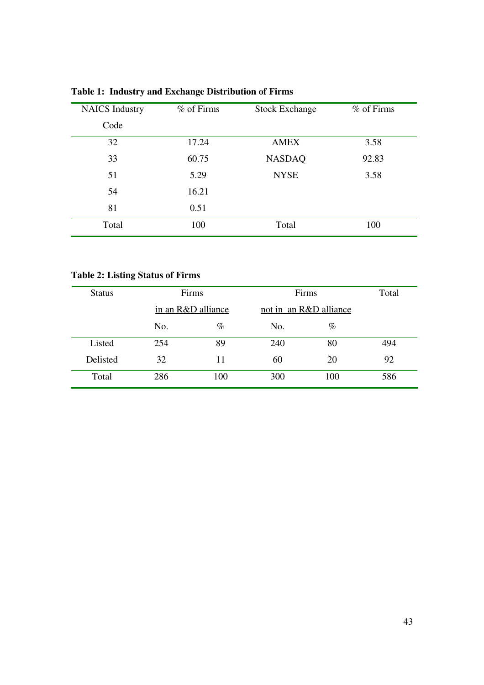| <b>NAICS</b> Industry | % of Firms | <b>Stock Exchange</b> | % of Firms |
|-----------------------|------------|-----------------------|------------|
| Code                  |            |                       |            |
| 32                    | 17.24      | <b>AMEX</b>           | 3.58       |
| 33                    | 60.75      | <b>NASDAQ</b>         | 92.83      |
| 51                    | 5.29       | <b>NYSE</b>           | 3.58       |
| 54                    | 16.21      |                       |            |
| 81                    | 0.51       |                       |            |
| Total                 | 100        | Total                 | 100        |

**Table 1: Industry and Exchange Distribution of Firms** 

# **Table 2: Listing Status of Firms**

| <b>Status</b> |     | Firms              |     | Firms                  | Total |  |
|---------------|-----|--------------------|-----|------------------------|-------|--|
|               |     | in an R&D alliance |     | not in an R&D alliance |       |  |
|               | No. | $\%$               | No. | $\%$                   |       |  |
| Listed        | 254 | 89                 | 240 | 80                     | 494   |  |
| Delisted      | 32  | 11                 | 60  | 20                     | 92    |  |
| Total         | 286 | 100                | 300 | 100                    | 586   |  |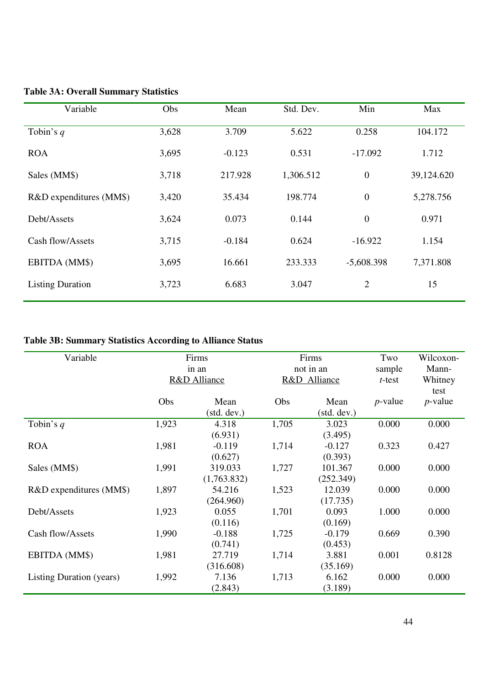| Variable                | Obs   | Mean     | Std. Dev. | Min              | Max        |
|-------------------------|-------|----------|-----------|------------------|------------|
| Tobin's $q$             | 3,628 | 3.709    | 5.622     | 0.258            | 104.172    |
| <b>ROA</b>              | 3,695 | $-0.123$ | 0.531     | $-17.092$        | 1.712      |
| Sales (MM\$)            | 3,718 | 217.928  | 1,306.512 | $\boldsymbol{0}$ | 39,124.620 |
| R&D expenditures (MM\$) | 3,420 | 35.434   | 198.774   | $\boldsymbol{0}$ | 5,278.756  |
| Debt/Assets             | 3,624 | 0.073    | 0.144     | $\boldsymbol{0}$ | 0.971      |
| Cash flow/Assets        | 3,715 | $-0.184$ | 0.624     | $-16.922$        | 1.154      |
| EBITDA (MM\$)           | 3,695 | 16.661   | 233.333   | $-5,608.398$     | 7,371.808  |
| <b>Listing Duration</b> | 3,723 | 6.683    | 3.047     | 2                | 15         |

# **Table 3A: Overall Summary Statistics**

# **Table 3B: Summary Statistics According to Alliance Status**

| Variable                        | Firms |                         |       | Firms        |            | Wilcoxon-  |
|---------------------------------|-------|-------------------------|-------|--------------|------------|------------|
|                                 |       | in an                   |       | not in an    |            | Mann-      |
|                                 |       | <b>R&amp;D</b> Alliance |       | R&D Alliance |            | Whitney    |
|                                 |       |                         |       |              |            | test       |
|                                 | Obs   | Mean                    | Obs   | Mean         | $p$ -value | $p$ -value |
|                                 |       | (stat. dev.)            |       | (stat. dev.) |            |            |
| Tobin's $q$                     | 1,923 | 4.318                   | 1,705 | 3.023        | 0.000      | 0.000      |
|                                 |       | (6.931)                 |       | (3.495)      |            |            |
| <b>ROA</b>                      | 1,981 | $-0.119$                | 1,714 | $-0.127$     | 0.323      | 0.427      |
|                                 |       | (0.627)                 |       | (0.393)      |            |            |
| Sales (MM\$)                    | 1,991 | 319.033                 | 1,727 | 101.367      | 0.000      | 0.000      |
|                                 |       | (1,763.832)             |       | (252.349)    |            |            |
| R&D expenditures (MM\$)         | 1,897 | 54.216                  | 1,523 | 12.039       | 0.000      | 0.000      |
|                                 |       | (264.960)               |       | (17.735)     |            |            |
| Debt/Assets                     | 1,923 | 0.055                   | 1,701 | 0.093        | 1.000      | 0.000      |
|                                 |       | (0.116)                 |       | (0.169)      |            |            |
| Cash flow/Assets                | 1,990 | $-0.188$                | 1,725 | $-0.179$     | 0.669      | 0.390      |
|                                 |       | (0.741)                 |       | (0.453)      |            |            |
| EBITDA (MM\$)                   | 1,981 | 27.719                  | 1,714 | 3.881        | 0.001      | 0.8128     |
|                                 |       | (316.608)               |       | (35.169)     |            |            |
| <b>Listing Duration (years)</b> | 1,992 | 7.136                   | 1,713 | 6.162        | 0.000      | 0.000      |
|                                 |       | (2.843)                 |       | (3.189)      |            |            |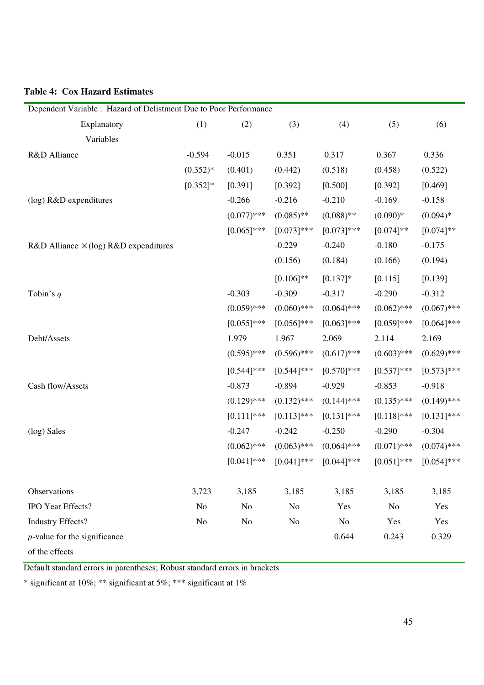| Dependent Variable : Hazard of Delistment Due to Poor Performance |                |                |               |               |                |               |
|-------------------------------------------------------------------|----------------|----------------|---------------|---------------|----------------|---------------|
| Explanatory                                                       | (1)            | (2)            | (3)           | (4)           | (5)            | (6)           |
| Variables                                                         |                |                |               |               |                |               |
| R&D Alliance                                                      | $-0.594$       | $-0.015$       | 0.351         | 0.317         | 0.367          | 0.336         |
|                                                                   | $(0.352)*$     | (0.401)        | (0.442)       | (0.518)       | (0.458)        | (0.522)       |
|                                                                   | $[0.352]$ *    | [0.391]        | [0.392]       | [0.500]       | [0.392]        | [0.469]       |
| (log) R&D expenditures                                            |                | $-0.266$       | $-0.216$      | $-0.210$      | $-0.169$       | $-0.158$      |
|                                                                   |                | $(0.077)$ ***  | $(0.085)$ **  | $(0.088)$ **  | $(0.090)*$     | $(0.094)*$    |
|                                                                   |                | $[0.065]$ ***  | $[0.073]$ *** | $[0.073]$ *** | $[0.074]$ **   | $[0.074]$ **  |
| R&D Alliance $\times$ (log) R&D expenditures                      |                |                | $-0.229$      | $-0.240$      | $-0.180$       | $-0.175$      |
|                                                                   |                |                | (0.156)       | (0.184)       | (0.166)        | (0.194)       |
|                                                                   |                |                | $[0.106]$ **  | $[0.137]$ *   | [0.115]        | [0.139]       |
| Tobin's $q$                                                       |                | $-0.303$       | $-0.309$      | $-0.317$      | $-0.290$       | $-0.312$      |
|                                                                   |                | $(0.059)$ ***  | $(0.060)$ *** | $(0.064)$ *** | $(0.062)$ ***  | $(0.067)$ *** |
|                                                                   |                | $[0.055]$ ***  | $[0.056]$ *** | $[0.063]$ *** | $[0.059]$ ***  | $[0.064]$ *** |
| Debt/Assets                                                       |                | 1.979          | 1.967         | 2.069         | 2.114          | 2.169         |
|                                                                   |                | $(0.595)$ ***  | $(0.596)$ *** | $(0.617)$ *** | $(0.603)$ ***  | $(0.629)$ *** |
|                                                                   |                | $[0.544]$ ***  | $[0.544]$ *** | $[0.570]$ *** | $[0.537]$ ***  | $[0.573]$ *** |
| Cash flow/Assets                                                  |                | $-0.873$       | $-0.894$      | $-0.929$      | $-0.853$       | $-0.918$      |
|                                                                   |                | $(0.129)$ ***  | $(0.132)$ *** | $(0.144)$ *** | $(0.135)$ ***  | $(0.149)$ *** |
|                                                                   |                | $[0.111]$ ***  | $[0.113]$ *** | $[0.131]$ *** | $[0.118]$ ***  | $[0.131]$ *** |
| (log) Sales                                                       |                | $-0.247$       | $-0.242$      | $-0.250$      | $-0.290$       | $-0.304$      |
|                                                                   |                | $(0.062)$ ***  | $(0.063)$ *** | $(0.064)$ *** | $(0.071)$ ***  | $(0.074)$ *** |
|                                                                   |                | $[0.041]$ ***  | $[0.041]$ *** | $[0.044]$ *** | $[0.051]$ ***  | $[0.054]$ *** |
| Observations                                                      | 3,723          | 3,185          | 3,185         | 3,185         | 3,185          | 3,185         |
| IPO Year Effects?                                                 | N <sub>o</sub> | N <sub>o</sub> | No            | Yes           | N <sub>o</sub> | Yes           |
| <b>Industry Effects?</b>                                          | No             | N <sub>o</sub> | No            | No            | Yes            | Yes           |
| $p$ -value for the significance                                   |                |                |               | 0.644         | 0.243          | 0.329         |
| of the effects                                                    |                |                |               |               |                |               |

### **Table 4: Cox Hazard Estimates**

Default standard errors in parentheses; Robust standard errors in brackets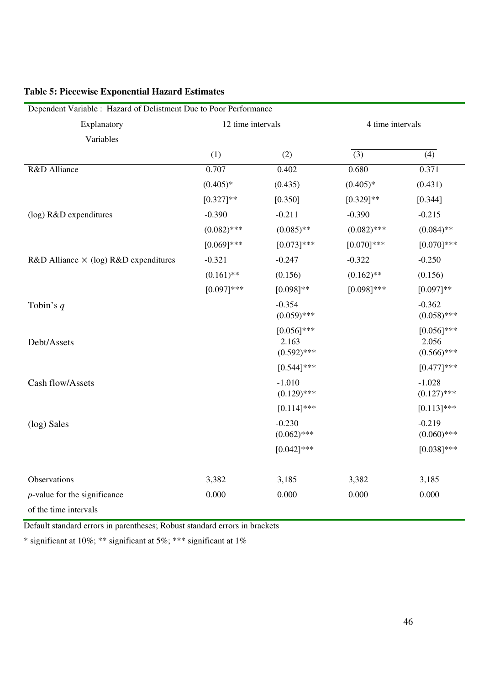| Dependent Variable : Hazard of Delistment Due to Poor Performance |                   |                                         |                  |                                         |  |  |
|-------------------------------------------------------------------|-------------------|-----------------------------------------|------------------|-----------------------------------------|--|--|
| Explanatory                                                       | 12 time intervals |                                         | 4 time intervals |                                         |  |  |
| Variables                                                         |                   |                                         |                  |                                         |  |  |
|                                                                   | $\overline{(1)}$  | $\overline{(2)}$                        | $\overline{(3)}$ | $\overline{(4)}$                        |  |  |
| R&D Alliance                                                      | 0.707             | 0.402                                   | 0.680            | 0.371                                   |  |  |
|                                                                   | $(0.405)*$        | (0.435)                                 | $(0.405)*$       | (0.431)                                 |  |  |
|                                                                   | $[0.327]**$       | [0.350]                                 | $[0.329]$ **     | [0.344]                                 |  |  |
| (log) R&D expenditures                                            | $-0.390$          | $-0.211$                                | $-0.390$         | $-0.215$                                |  |  |
|                                                                   | $(0.082)$ ***     | $(0.085)$ **                            | $(0.082)$ ***    | $(0.084)$ **                            |  |  |
|                                                                   | $[0.069]$ ***     | $[0.073]$ ***                           | $[0.070]$ ***    | $[0.070]$ ***                           |  |  |
| R&D Alliance $\times$ (log) R&D expenditures                      | $-0.321$          | $-0.247$                                | $-0.322$         | $-0.250$                                |  |  |
|                                                                   | $(0.161)$ **      | (0.156)                                 | $(0.162)$ **     | (0.156)                                 |  |  |
|                                                                   | $[0.097]***$      | $[0.098]$ **                            | $[0.098]$ ***    | $[0.097]**$                             |  |  |
| Tobin's $q$                                                       |                   | $-0.354$<br>$(0.059)$ ***               |                  | $-0.362$<br>$(0.058)$ ***               |  |  |
| Debt/Assets                                                       |                   | $[0.056]$ ***<br>2.163<br>$(0.592)$ *** |                  | $[0.056]$ ***<br>2.056<br>$(0.566)$ *** |  |  |
|                                                                   |                   | $[0.544]$ ***                           |                  | $[0.477]$ ***                           |  |  |
| Cash flow/Assets                                                  |                   | $-1.010$<br>$(0.129)$ ***               |                  | $-1.028$<br>$(0.127)$ ***               |  |  |
|                                                                   |                   | $[0.114]$ ***                           |                  | $[0.113]$ ***                           |  |  |
| (log) Sales                                                       |                   | $-0.230$<br>$(0.062)$ ***               |                  | $-0.219$<br>$(0.060)$ ***               |  |  |
|                                                                   |                   | $[0.042]$ ***                           |                  | $[0.038]$ ***                           |  |  |
| Observations                                                      | 3,382             | 3,185                                   | 3,382            | 3,185                                   |  |  |
| $p$ -value for the significance                                   | 0.000             | 0.000                                   | 0.000            | 0.000                                   |  |  |
| of the time intervals                                             |                   |                                         |                  |                                         |  |  |

### **Table 5: Piecewise Exponential Hazard Estimates**

Default standard errors in parentheses; Robust standard errors in brackets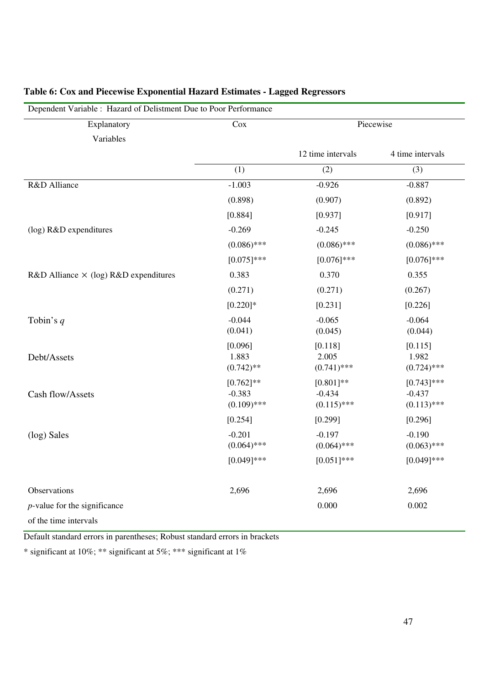| Explanatory                                  | Cox                   |                        | Piecewise              |  |  |  |
|----------------------------------------------|-----------------------|------------------------|------------------------|--|--|--|
| Variables                                    |                       |                        |                        |  |  |  |
|                                              |                       | 12 time intervals      | 4 time intervals       |  |  |  |
|                                              | (1)                   | (2)                    | (3)                    |  |  |  |
| R&D Alliance                                 | $-1.003$              | $-0.926$               | $-0.887$               |  |  |  |
|                                              | (0.898)               | (0.907)                | (0.892)                |  |  |  |
|                                              | [0.884]               | [0.937]                | [0.917]                |  |  |  |
| (log) R&D expenditures                       | $-0.269$              | $-0.245$               | $-0.250$               |  |  |  |
|                                              | $(0.086)$ ***         | $(0.086)$ ***          | $(0.086)$ ***          |  |  |  |
|                                              | $[0.075]$ ***         | $[0.076]$ ***          | $[0.076]$ ***          |  |  |  |
| R&D Alliance $\times$ (log) R&D expenditures | 0.383                 | 0.370                  | 0.355                  |  |  |  |
|                                              | (0.271)               | (0.271)                | (0.267)                |  |  |  |
|                                              | $[0.220]$ *           | [0.231]                | [0.226]                |  |  |  |
| Tobin's $q$                                  | $-0.044$              | $-0.065$               | $-0.064$               |  |  |  |
|                                              | (0.041)               | (0.045)                | (0.044)                |  |  |  |
|                                              | [0.096]               | [0.118]                | [0.115]                |  |  |  |
| Debt/Assets                                  | 1.883<br>$(0.742)$ ** | 2.005<br>$(0.741)$ *** | 1.982<br>$(0.724)$ *** |  |  |  |
|                                              | $[0.762]$ **          | $[0.801]**$            | $[0.743]$ ***          |  |  |  |
| Cash flow/Assets                             | $-0.383$              | $-0.434$               | $-0.437$               |  |  |  |
|                                              | $(0.109)$ ***         | $(0.115)$ ***          | $(0.113)$ ***          |  |  |  |
|                                              | [0.254]               | [0.299]                | [0.296]                |  |  |  |
| (log) Sales                                  | $-0.201$              | $-0.197$               | $-0.190$               |  |  |  |
|                                              | $(0.064)$ ***         | $(0.064)$ ***          | $(0.063)$ ***          |  |  |  |
|                                              | $[0.049]$ ***         | $[0.051]$ ***          | $[0.049]$ ***          |  |  |  |
| Observations                                 | 2,696                 | 2,696                  | 2,696                  |  |  |  |
| $p$ -value for the significance              |                       | 0.000                  | 0.002                  |  |  |  |
| of the time intervals                        |                       |                        |                        |  |  |  |

### **Table 6: Cox and Piecewise Exponential Hazard Estimates - Lagged Regressors**

 $\Box$ Dependent Variable : Hazard of Delistment Due to Poor Perfo

Default standard errors in parentheses; Robust standard errors in brackets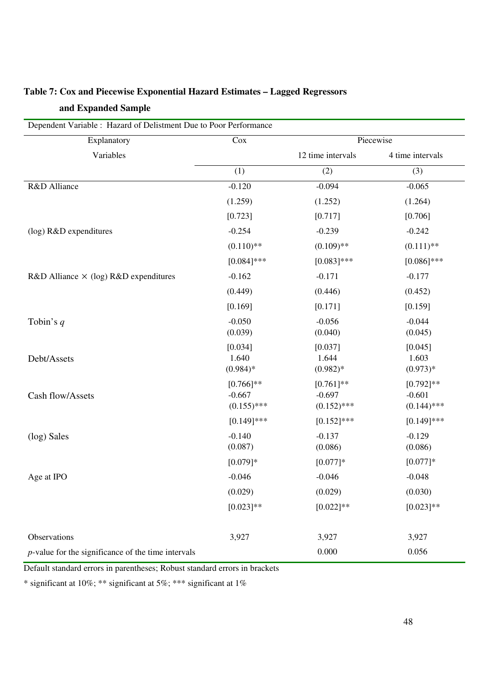| Dependent Variable : Hazard of Delistment Due to Poor Performance |                     |                     |                     |  |  |
|-------------------------------------------------------------------|---------------------|---------------------|---------------------|--|--|
| Explanatory                                                       | Cox                 | Piecewise           |                     |  |  |
| Variables                                                         |                     | 12 time intervals   | 4 time intervals    |  |  |
|                                                                   | (1)                 | (2)                 | (3)                 |  |  |
| R&D Alliance                                                      | $-0.120$            | $-0.094$            | $-0.065$            |  |  |
|                                                                   | (1.259)             | (1.252)             | (1.264)             |  |  |
|                                                                   | [0.723]             | [0.717]             | [0.706]             |  |  |
| (log) R&D expenditures                                            | $-0.254$            | $-0.239$            | $-0.242$            |  |  |
|                                                                   | $(0.110)$ **        | $(0.109)$ **        | $(0.111)$ **        |  |  |
|                                                                   | $[0.084]$ ***       | $[0.083]$ ***       | $[0.086]$ ***       |  |  |
| R&D Alliance $\times$ (log) R&D expenditures                      | $-0.162$            | $-0.171$            | $-0.177$            |  |  |
|                                                                   | (0.449)             | (0.446)             | (0.452)             |  |  |
|                                                                   | [0.169]             | [0.171]             | [0.159]             |  |  |
| Tobin's $q$                                                       | $-0.050$            | $-0.056$            | $-0.044$            |  |  |
|                                                                   | (0.039)             | (0.040)             | (0.045)             |  |  |
| Debt/Assets                                                       | [0.034]<br>1.640    | [0.037]<br>1.644    | [0.045]<br>1.603    |  |  |
|                                                                   | $(0.984)*$          | $(0.982)*$          | $(0.973)*$          |  |  |
|                                                                   | $[0.766]$ **        | $[0.761]$ **        | $[0.792]$ **        |  |  |
| Cash flow/Assets                                                  | $-0.667$            | $-0.697$            | $-0.601$            |  |  |
|                                                                   | $(0.155)$ ***       | $(0.152)$ ***       | $(0.144)$ ***       |  |  |
|                                                                   | $[0.149]$ ***       | $[0.152]$ ***       | $[0.149]$ ***       |  |  |
| (log) Sales                                                       | $-0.140$<br>(0.087) | $-0.137$<br>(0.086) | $-0.129$<br>(0.086) |  |  |
|                                                                   | $[0.079]*$          | $[0.077]$ *         | $[0.077]$ *         |  |  |
| Age at IPO                                                        | $-0.046$            | $-0.046$            | $-0.048$            |  |  |
|                                                                   | (0.029)             | (0.029)             | (0.030)             |  |  |
|                                                                   | $[0.023]**$         | $[0.022]$ **        | $[0.023]**$         |  |  |
|                                                                   |                     |                     |                     |  |  |
| Observations                                                      | 3,927               | 3,927               | 3,927               |  |  |
| $p$ -value for the significance of the time intervals             |                     | 0.000               | 0.056               |  |  |

## **Table 7: Cox and Piecewise Exponential Hazard Estimates – Lagged Regressors and Expanded Sample**

Default standard errors in parentheses; Robust standard errors in brackets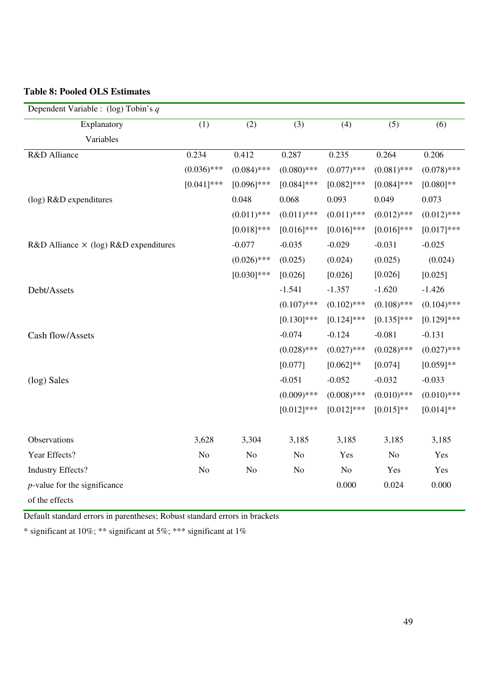### **Table 8: Pooled OLS Estimates**

| Dependent Variable : $(\log)$ Tobin's q      |                |               |                |               |                |               |
|----------------------------------------------|----------------|---------------|----------------|---------------|----------------|---------------|
| Explanatory                                  | (1)            | (2)           | (3)            | (4)           | (5)            | (6)           |
| Variables                                    |                |               |                |               |                |               |
| R&D Alliance                                 | 0.234          | 0.412         | 0.287          | 0.235         | 0.264          | 0.206         |
|                                              | $(0.036)$ ***  | $(0.084)$ *** | $(0.080)$ ***  | $(0.077)$ *** | $(0.081)$ ***  | $(0.078)$ *** |
|                                              | $[0.041]$ ***  | $[0.096]$ *** | $[0.084]$ ***  | $[0.082]$ *** | $[0.084]$ ***  | $[0.080]$ **  |
| (log) R&D expenditures                       |                | 0.048         | 0.068          | 0.093         | 0.049          | 0.073         |
|                                              |                | $(0.011)$ *** | $(0.011)$ ***  | $(0.011)$ *** | $(0.012)$ ***  | $(0.012)$ *** |
|                                              |                | $[0.018]$ *** | $[0.016]$ ***  | $[0.016]$ *** | $[0.016]$ ***  | $[0.017]***$  |
| R&D Alliance $\times$ (log) R&D expenditures |                | $-0.077$      | $-0.035$       | $-0.029$      | $-0.031$       | $-0.025$      |
|                                              |                | $(0.026)$ *** | (0.025)        | (0.024)       | (0.025)        | (0.024)       |
|                                              |                | $[0.030]$ *** | [0.026]        | [0.026]       | [0.026]        | [0.025]       |
| Debt/Assets                                  |                |               | $-1.541$       | $-1.357$      | $-1.620$       | $-1.426$      |
|                                              |                |               | $(0.107)$ ***  | $(0.102)$ *** | $(0.108)$ ***  | $(0.104)$ *** |
|                                              |                |               | $[0.130]$ ***  | $[0.124]$ *** | $[0.135]$ ***  | $[0.129]$ *** |
| Cash flow/Assets                             |                |               | $-0.074$       | $-0.124$      | $-0.081$       | $-0.131$      |
|                                              |                |               | $(0.028)$ ***  | $(0.027)$ *** | $(0.028)$ ***  | $(0.027)$ *** |
|                                              |                |               | [0.077]        | $[0.062]$ **  | [0.074]        | $[0.059]**$   |
| (log) Sales                                  |                |               | $-0.051$       | $-0.052$      | $-0.032$       | $-0.033$      |
|                                              |                |               | $(0.009)$ ***  | $(0.008)$ *** | $(0.010)$ ***  | $(0.010)$ *** |
|                                              |                |               | $[0.012]$ ***  | $[0.012]$ *** | $[0.015]*$     | $[0.014]$ **  |
|                                              |                |               |                |               |                |               |
| Observations                                 | 3,628          | 3,304         | 3,185          | 3,185         | 3,185          | 3,185         |
| Year Effects?                                | N <sub>o</sub> | No            | N <sub>o</sub> | Yes           | N <sub>o</sub> | Yes           |
| <b>Industry Effects?</b>                     | N <sub>0</sub> | No            | N <sub>o</sub> | No            | Yes            | Yes           |
| $p$ -value for the significance              |                |               |                | 0.000         | 0.024          | 0.000         |
| of the effects                               |                |               |                |               |                |               |

Default standard errors in parentheses; Robust standard errors in brackets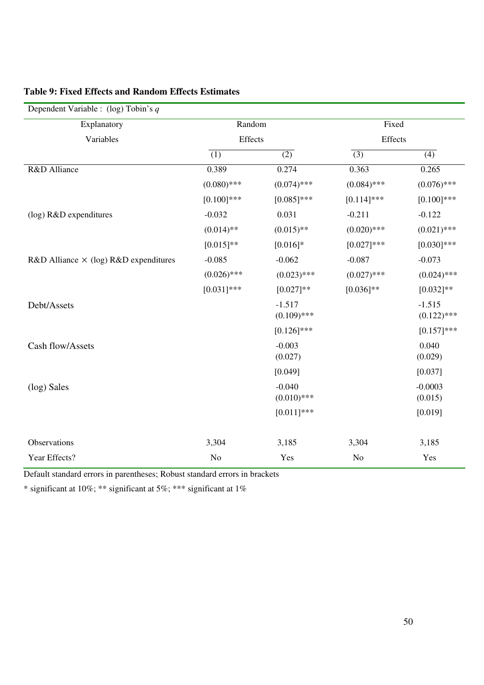| Dependent Variable : $(\log)$ Tobin's q      |                  |                           |                  |                           |
|----------------------------------------------|------------------|---------------------------|------------------|---------------------------|
| Explanatory                                  | Random           |                           | Fixed            |                           |
| Variables                                    | Effects          |                           | Effects          |                           |
|                                              | $\overline{(1)}$ | $\overline{(2)}$          | $\overline{(3)}$ | $\overline{(4)}$          |
| R&D Alliance                                 | 0.389            | 0.274                     | 0.363            | 0.265                     |
|                                              | $(0.080)$ ***    | $(0.074)$ ***             | $(0.084)$ ***    | $(0.076)$ ***             |
|                                              | $[0.100]$ ***    | $[0.085]$ ***             | $[0.114]$ ***    | $[0.100]$ ***             |
| (log) R&D expenditures                       | $-0.032$         | 0.031                     | $-0.211$         | $-0.122$                  |
|                                              | $(0.014)$ **     | $(0.015)$ **              | $(0.020)$ ***    | $(0.021)$ ***             |
|                                              | $[0.015]*$       | $[0.016]*$                | $[0.027]***$     | $[0.030]$ ***             |
| R&D Alliance $\times$ (log) R&D expenditures | $-0.085$         | $-0.062$                  | $-0.087$         | $-0.073$                  |
|                                              | $(0.026)$ ***    | $(0.023)$ ***             | $(0.027)$ ***    | $(0.024)$ ***             |
|                                              | $[0.031]$ ***    | $[0.027]**$               | $[0.036]$ **     | $[0.032]**$               |
| Debt/Assets                                  |                  | $-1.517$<br>$(0.109)$ *** |                  | $-1.515$<br>$(0.122)$ *** |
|                                              |                  | $[0.126]$ ***             |                  | $[0.157]$ ***             |
| Cash flow/Assets                             |                  | $-0.003$<br>(0.027)       |                  | 0.040<br>(0.029)          |
|                                              |                  | [0.049]                   |                  | [0.037]                   |
| (log) Sales                                  |                  | $-0.040$<br>$(0.010)$ *** |                  | $-0.0003$<br>(0.015)      |
|                                              |                  | $[0.011]$ ***             |                  | [0.019]                   |
| Observations                                 | 3,304            | 3,185                     | 3,304            | 3,185                     |
| Year Effects?                                | $\rm No$         | Yes                       | No               | Yes                       |

### **Table 9: Fixed Effects and Random Effects Estimates**

Default standard errors in parentheses; Robust standard errors in brackets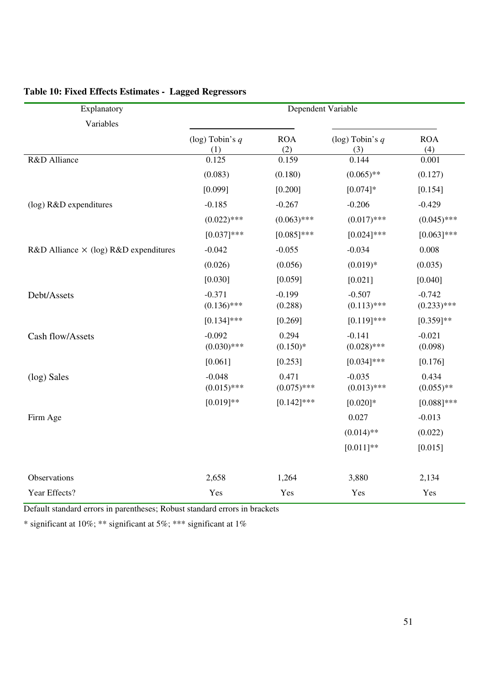| Explanatory                                  | Dependent Variable        |                        |                           |                           |  |  |
|----------------------------------------------|---------------------------|------------------------|---------------------------|---------------------------|--|--|
| Variables                                    |                           |                        |                           |                           |  |  |
|                                              | (log) Tobin's $q$<br>(1)  | <b>ROA</b><br>(2)      | (log) Tobin's $q$<br>(3)  | <b>ROA</b><br>(4)         |  |  |
| R&D Alliance                                 | 0.125                     | 0.159                  | 0.144                     | 0.001                     |  |  |
|                                              | (0.083)                   | (0.180)                | $(0.065)$ **              | (0.127)                   |  |  |
|                                              | [0.099]                   | [0.200]                | $[0.074]$ *               | [0.154]                   |  |  |
| (log) R&D expenditures                       | $-0.185$                  | $-0.267$               | $-0.206$                  | $-0.429$                  |  |  |
|                                              | $(0.022)$ ***             | $(0.063)$ ***          | $(0.017)$ ***             | $(0.045)$ ***             |  |  |
|                                              | $[0.037]***$              | $[0.085]$ ***          | $[0.024]$ ***             | $[0.063]$ ***             |  |  |
| R&D Alliance $\times$ (log) R&D expenditures | $-0.042$                  | $-0.055$               | $-0.034$                  | 0.008                     |  |  |
|                                              | (0.026)                   | (0.056)                | $(0.019)*$                | (0.035)                   |  |  |
|                                              | [0.030]                   | [0.059]                | [0.021]                   | [0.040]                   |  |  |
| Debt/Assets                                  | $-0.371$<br>$(0.136)$ *** | $-0.199$<br>(0.288)    | $-0.507$<br>$(0.113)$ *** | $-0.742$<br>$(0.233)$ *** |  |  |
|                                              | $[0.134]$ ***             | [0.269]                | $[0.119]$ ***             | $[0.359]$ **              |  |  |
| Cash flow/Assets                             | $-0.092$<br>$(0.030)$ *** | 0.294<br>$(0.150)*$    | $-0.141$<br>$(0.028)$ *** | $-0.021$<br>(0.098)       |  |  |
|                                              | [0.061]                   | [0.253]                | $[0.034]$ ***             | [0.176]                   |  |  |
| (log) Sales                                  | $-0.048$<br>$(0.015)$ *** | 0.471<br>$(0.075)$ *** | $-0.035$<br>$(0.013)$ *** | 0.434<br>$(0.055)$ **     |  |  |
|                                              | $[0.019]**$               | $[0.142]$ ***          | $[0.020]*$                | $[0.088]$ ***             |  |  |
| Firm Age                                     |                           |                        | 0.027                     | $-0.013$                  |  |  |
|                                              |                           |                        | $(0.014)$ **              | (0.022)                   |  |  |
|                                              |                           |                        | $[0.011]$ **              | [0.015]                   |  |  |
| Observations                                 | 2,658                     | 1,264                  | 3,880                     | 2,134                     |  |  |
| Year Effects?                                | Yes                       | Yes                    | Yes                       | Yes                       |  |  |

### **Table 10: Fixed Effects Estimates - Lagged Regressors**

Default standard errors in parentheses; Robust standard errors in brackets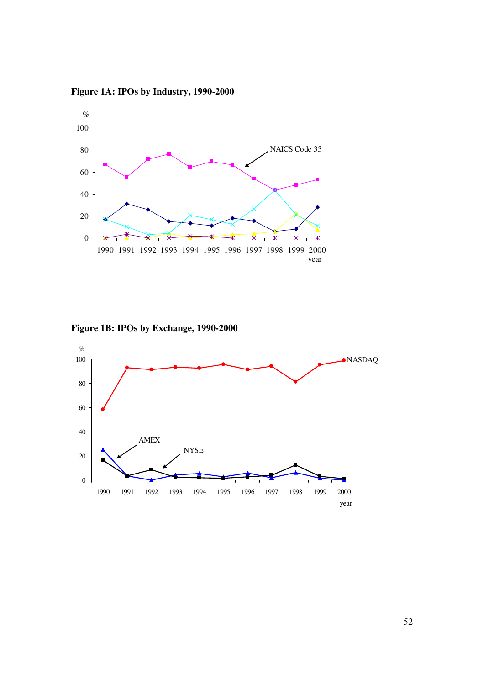**Figure 1A: IPOs by Industry, 1990-2000** 



**Figure 1B: IPOs by Exchange, 1990-2000** 

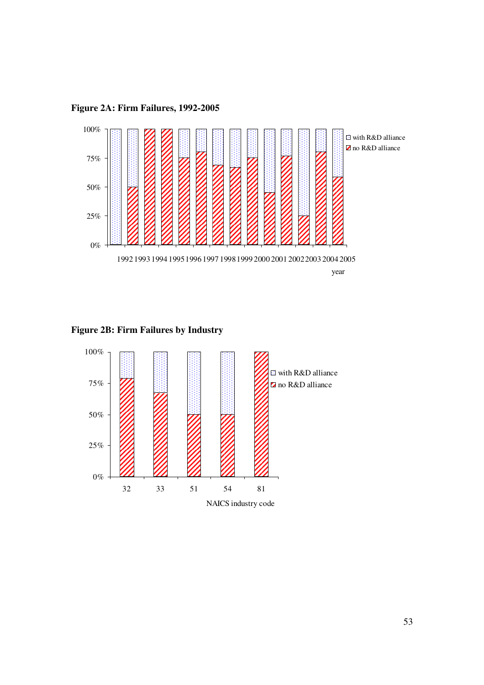**Figure 2A: Firm Failures, 1992-2005** 



**Figure 2B: Firm Failures by Industry** 

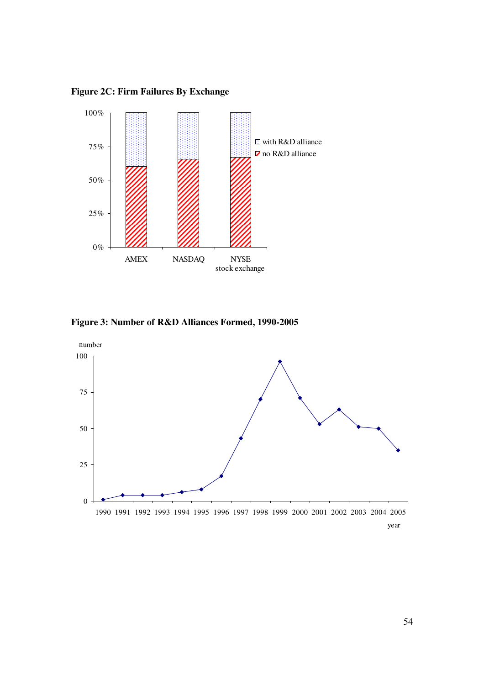**Figure 2C: Firm Failures By Exchange** 



**Figure 3: Number of R&D Alliances Formed, 1990-2005**

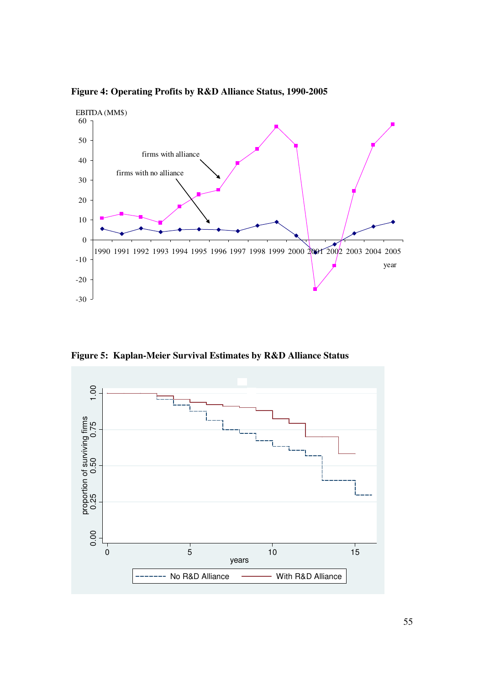**Figure 4: Operating Profits by R&D Alliance Status, 1990-2005** 



**Figure 5: Kaplan-Meier Survival Estimates by R&D Alliance Status**